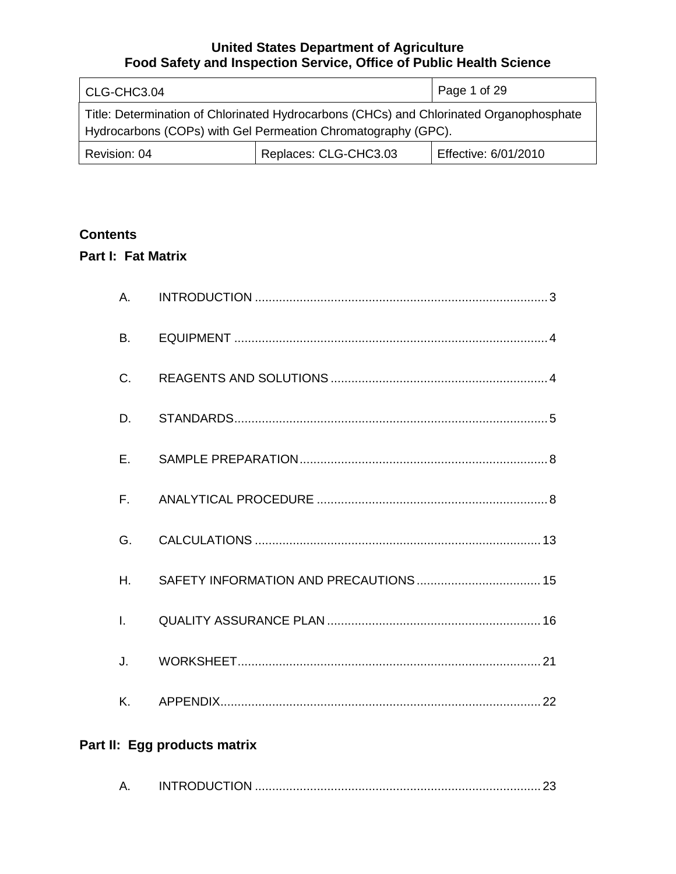| CLG-CHC3.04                                                                                                                                              |                       | Page 1 of 29         |
|----------------------------------------------------------------------------------------------------------------------------------------------------------|-----------------------|----------------------|
| Title: Determination of Chlorinated Hydrocarbons (CHCs) and Chlorinated Organophosphate<br>Hydrocarbons (COPs) with Gel Permeation Chromatography (GPC). |                       |                      |
| Revision: 04                                                                                                                                             | Replaces: CLG-CHC3.03 | Effective: 6/01/2010 |

# **Contents**

# **Part I: Fat Matrix**

| Α.           |                              |
|--------------|------------------------------|
| B.           |                              |
| C.           |                              |
| D.           |                              |
| Ε.           |                              |
| $F_{\perp}$  |                              |
| G.           |                              |
| Η.           |                              |
| $\mathbf{L}$ |                              |
| J.           |                              |
| Κ.           |                              |
|              | Part II: Egg products matrix |
| Α.           |                              |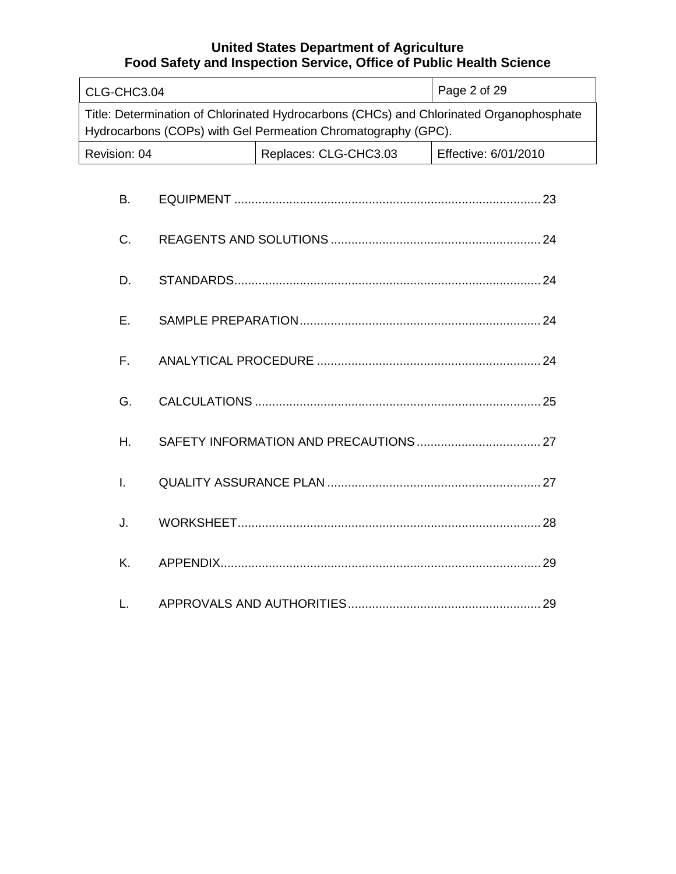| CLG-CHC3.04                                                                                                                                              |  | Page 2 of 29          |                      |
|----------------------------------------------------------------------------------------------------------------------------------------------------------|--|-----------------------|----------------------|
| Title: Determination of Chlorinated Hydrocarbons (CHCs) and Chlorinated Organophosphate<br>Hydrocarbons (COPs) with Gel Permeation Chromatography (GPC). |  |                       |                      |
| Revision: 04                                                                                                                                             |  | Replaces: CLG-CHC3.03 | Effective: 6/01/2010 |
| <b>B.</b>                                                                                                                                                |  |                       |                      |
| C.                                                                                                                                                       |  |                       |                      |
| D.                                                                                                                                                       |  |                       |                      |
| Ε.                                                                                                                                                       |  |                       |                      |
| F.                                                                                                                                                       |  |                       |                      |
| G.                                                                                                                                                       |  |                       |                      |
| H.                                                                                                                                                       |  |                       |                      |
| $\mathsf{L}$                                                                                                                                             |  |                       |                      |
| J.                                                                                                                                                       |  |                       |                      |
| K.                                                                                                                                                       |  |                       |                      |
| L.                                                                                                                                                       |  |                       |                      |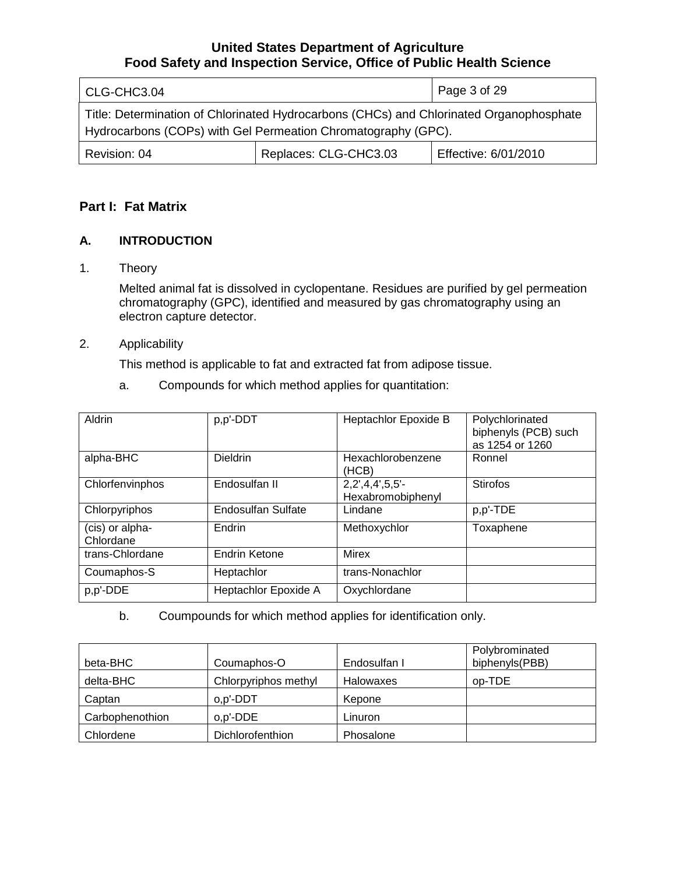| CLG-CHC3.04                                                                                                                                              |                       | Page 3 of 29         |
|----------------------------------------------------------------------------------------------------------------------------------------------------------|-----------------------|----------------------|
| Title: Determination of Chlorinated Hydrocarbons (CHCs) and Chlorinated Organophosphate<br>Hydrocarbons (COPs) with Gel Permeation Chromatography (GPC). |                       |                      |
| Revision: 04                                                                                                                                             | Replaces: CLG-CHC3.03 | Effective: 6/01/2010 |

# **Part I: Fat Matrix**

# **A. INTRODUCTION**

1. Theory

Melted animal fat is dissolved in cyclopentane. Residues are purified by gel permeation chromatography (GPC), identified and measured by gas chromatography using an electron capture detector.

## 2. Applicability

This method is applicable to fat and extracted fat from adipose tissue.

a. Compounds for which method applies for quantitation:

| Aldrin                       | p,p'-DDT             | Heptachlor Epoxide B                   | Polychlorinated<br>biphenyls (PCB) such<br>as 1254 or 1260 |
|------------------------------|----------------------|----------------------------------------|------------------------------------------------------------|
| alpha-BHC                    | <b>Dieldrin</b>      | Hexachlorobenzene<br>(HCB)             | Ronnel                                                     |
| Chlorfenvinphos              | Endosulfan II        | $2,2',4,4',5,5'-$<br>Hexabromobiphenyl | <b>Stirofos</b>                                            |
| Chlorpyriphos                | Endosulfan Sulfate   | Lindane                                | p,p'-TDE                                                   |
| (cis) or alpha-<br>Chlordane | Endrin               | Methoxychlor                           | Toxaphene                                                  |
| trans-Chlordane              | <b>Endrin Ketone</b> | <b>Mirex</b>                           |                                                            |
| Coumaphos-S                  | Heptachlor           | trans-Nonachlor                        |                                                            |
| p,p'-DDE                     | Heptachlor Epoxide A | Oxychlordane                           |                                                            |

b. Coumpounds for which method applies for identification only.

| beta-BHC        | Coumaphos-O          | Endosulfan I     | Polybrominated<br>biphenyls(PBB) |
|-----------------|----------------------|------------------|----------------------------------|
| delta-BHC       | Chlorpyriphos methyl | <b>Halowaxes</b> | op-TDE                           |
| Captan          | o,p'-DDT             | Kepone           |                                  |
| Carbophenothion | o,p'-DDE             | Linuron          |                                  |
| Chlordene       | Dichlorofenthion     | Phosalone        |                                  |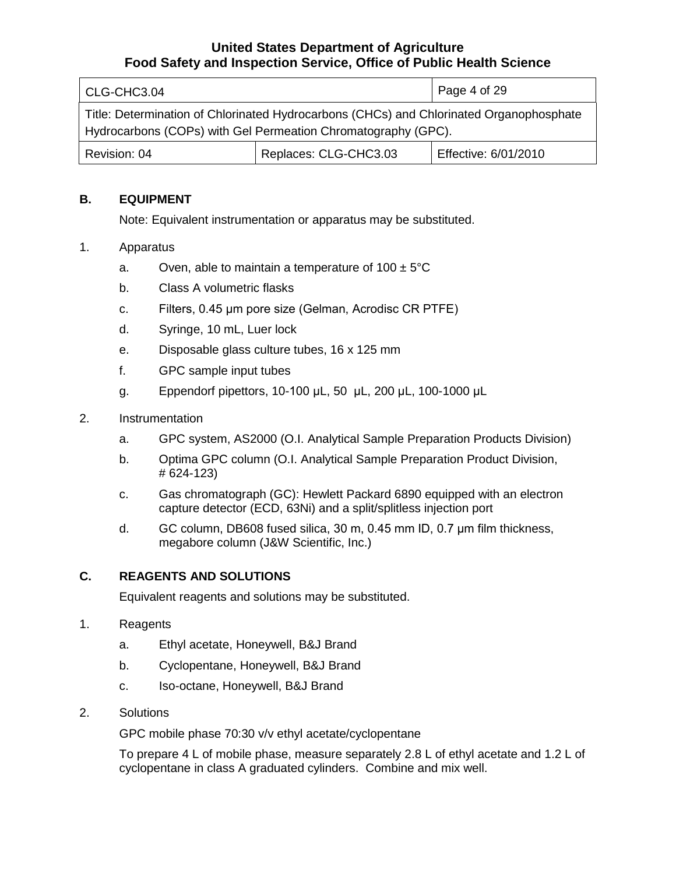| CLG-CHC3.04                                                                                                                                              |                       | Page 4 of 29         |
|----------------------------------------------------------------------------------------------------------------------------------------------------------|-----------------------|----------------------|
| Title: Determination of Chlorinated Hydrocarbons (CHCs) and Chlorinated Organophosphate<br>Hydrocarbons (COPs) with Gel Permeation Chromatography (GPC). |                       |                      |
| Revision: 04                                                                                                                                             | Replaces: CLG-CHC3.03 | Effective: 6/01/2010 |

## **B. EQUIPMENT**

Note: Equivalent instrumentation or apparatus may be substituted.

#### 1. Apparatus

- a. Oven, able to maintain a temperature of  $100 \pm 5^{\circ}$ C
- b. Class A volumetric flasks
- c. Filters, 0.45 μm pore size (Gelman, Acrodisc CR PTFE)
- d. Syringe, 10 mL, Luer lock
- e. Disposable glass culture tubes, 16 x 125 mm
- f. GPC sample input tubes
- g. Eppendorf pipettors, 10-100 μL, 50 μL, 200 μL, 100-1000 μL
- 2. Instrumentation
	- a. GPC system, AS2000 (O.I. Analytical Sample Preparation Products Division)
	- b. Optima GPC column (O.I. Analytical Sample Preparation Product Division, # 624-123)
	- c. Gas chromatograph (GC): Hewlett Packard 6890 equipped with an electron capture detector (ECD, 63Ni) and a split/splitless injection port
	- d. GC column, DB608 fused silica, 30 m, 0.45 mm ID, 0.7 μm film thickness, megabore column (J&W Scientific, Inc.)

# **C. REAGENTS AND SOLUTIONS**

Equivalent reagents and solutions may be substituted.

- 1. Reagents
	- a. Ethyl acetate, Honeywell, B&J Brand
	- b. Cyclopentane, Honeywell, B&J Brand
	- c. Iso-octane, Honeywell, B&J Brand
- 2. Solutions

GPC mobile phase 70:30 v/v ethyl acetate/cyclopentane

To prepare 4 L of mobile phase, measure separately 2.8 L of ethyl acetate and 1.2 L of cyclopentane in class A graduated cylinders. Combine and mix well.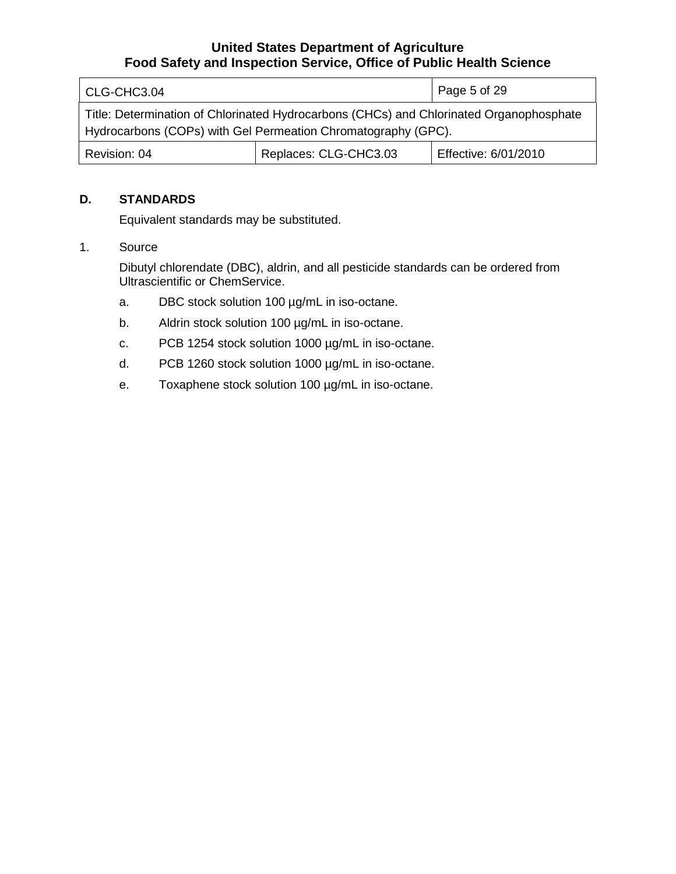| CLG-CHC3.04                                                                                                                                              |                       | Page 5 of 29         |
|----------------------------------------------------------------------------------------------------------------------------------------------------------|-----------------------|----------------------|
| Title: Determination of Chlorinated Hydrocarbons (CHCs) and Chlorinated Organophosphate<br>Hydrocarbons (COPs) with Gel Permeation Chromatography (GPC). |                       |                      |
| Revision: 04                                                                                                                                             | Replaces: CLG-CHC3.03 | Effective: 6/01/2010 |

#### **D. STANDARDS**

Equivalent standards may be substituted.

## 1. Source

Dibutyl chlorendate (DBC), aldrin, and all pesticide standards can be ordered from Ultrascientific or ChemService.

- a. DBC stock solution 100 µg/mL in iso-octane.
- b. Aldrin stock solution 100 µg/mL in iso-octane.
- c. PCB 1254 stock solution 1000 µg/mL in iso-octane.
- d. PCB 1260 stock solution 1000 µg/mL in iso-octane.
- e. Toxaphene stock solution 100 µg/mL in iso-octane.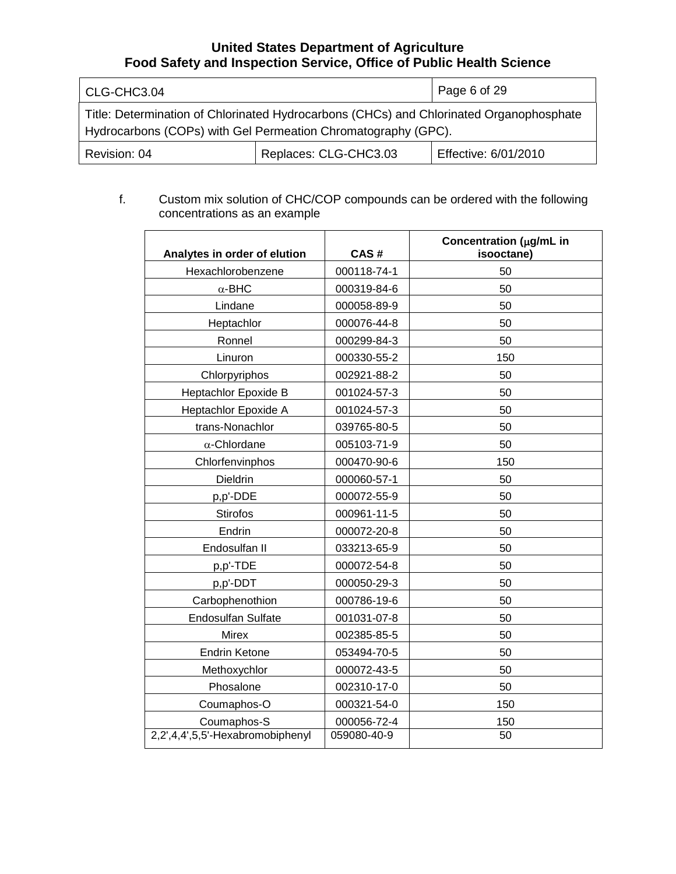| CLG-CHC3.04                                                                                                                                              |                       | Page 6 of 29         |
|----------------------------------------------------------------------------------------------------------------------------------------------------------|-----------------------|----------------------|
| Title: Determination of Chlorinated Hydrocarbons (CHCs) and Chlorinated Organophosphate<br>Hydrocarbons (COPs) with Gel Permeation Chromatography (GPC). |                       |                      |
| Revision: 04                                                                                                                                             | Replaces: CLG-CHC3.03 | Effective: 6/01/2010 |

#### f. Custom mix solution of CHC/COP compounds can be ordered with the following concentrations as an example

| Analytes in order of elution     | CAS#        | Concentration (µg/mL in<br>isooctane) |
|----------------------------------|-------------|---------------------------------------|
| Hexachlorobenzene                | 000118-74-1 | 50                                    |
| $\alpha$ -BHC                    | 000319-84-6 | 50                                    |
| Lindane                          | 000058-89-9 | 50                                    |
| Heptachlor                       | 000076-44-8 | 50                                    |
| Ronnel                           | 000299-84-3 | 50                                    |
| Linuron                          | 000330-55-2 | 150                                   |
| Chlorpyriphos                    | 002921-88-2 | 50                                    |
| Heptachlor Epoxide B             | 001024-57-3 | 50                                    |
| Heptachlor Epoxide A             | 001024-57-3 | 50                                    |
| trans-Nonachlor                  | 039765-80-5 | 50                                    |
| $\alpha$ -Chlordane              | 005103-71-9 | 50                                    |
| Chlorfenvinphos                  | 000470-90-6 | 150                                   |
| <b>Dieldrin</b>                  | 000060-57-1 | 50                                    |
| p,p'-DDE                         | 000072-55-9 | 50                                    |
| <b>Stirofos</b>                  | 000961-11-5 | 50                                    |
| Endrin                           | 000072-20-8 | 50                                    |
| Endosulfan II                    | 033213-65-9 | 50                                    |
| p,p'-TDE                         | 000072-54-8 | 50                                    |
| p,p'-DDT                         | 000050-29-3 | 50                                    |
| Carbophenothion                  | 000786-19-6 | 50                                    |
| <b>Endosulfan Sulfate</b>        | 001031-07-8 | 50                                    |
| <b>Mirex</b>                     | 002385-85-5 | 50                                    |
| <b>Endrin Ketone</b>             | 053494-70-5 | 50                                    |
| Methoxychlor                     | 000072-43-5 | 50                                    |
| Phosalone                        | 002310-17-0 | 50                                    |
| Coumaphos-O                      | 000321-54-0 | 150                                   |
| Coumaphos-S                      | 000056-72-4 | 150                                   |
| 2,2',4,4',5,5'-Hexabromobiphenyl | 059080-40-9 | 50                                    |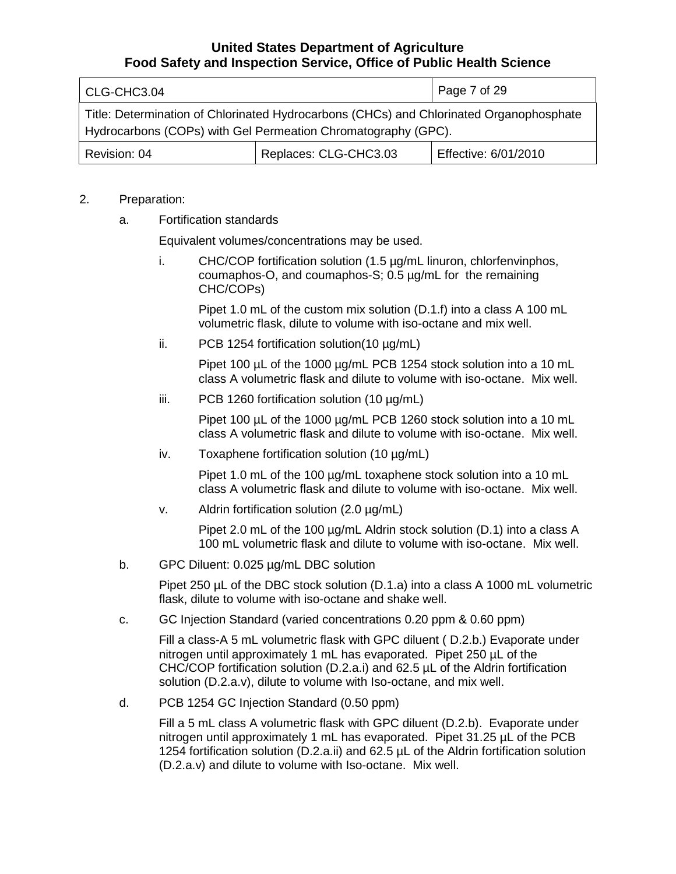| CLG-CHC3.04                                                                                                                                              |                       | Page 7 of 29         |
|----------------------------------------------------------------------------------------------------------------------------------------------------------|-----------------------|----------------------|
| Title: Determination of Chlorinated Hydrocarbons (CHCs) and Chlorinated Organophosphate<br>Hydrocarbons (COPs) with Gel Permeation Chromatography (GPC). |                       |                      |
| Revision: 04                                                                                                                                             | Replaces: CLG-CHC3.03 | Effective: 6/01/2010 |

#### 2. Preparation:

a. Fortification standards

Equivalent volumes/concentrations may be used.

i. CHC/COP fortification solution (1.5 µg/mL linuron, chlorfenvinphos, coumaphos-O, and coumaphos-S; 0.5 µg/mL for the remaining CHC/COPs)

Pipet 1.0 mL of the custom mix solution (D.1.f) into a class A 100 mL volumetric flask, dilute to volume with iso-octane and mix well.

ii. PCB 1254 fortification solution(10 µg/mL)

Pipet 100 µL of the 1000 µg/mL PCB 1254 stock solution into a 10 mL class A volumetric flask and dilute to volume with iso-octane. Mix well.

iii. PCB 1260 fortification solution (10 µg/mL)

Pipet 100 µL of the 1000 µg/mL PCB 1260 stock solution into a 10 mL class A volumetric flask and dilute to volume with iso-octane. Mix well.

iv. Toxaphene fortification solution (10 µg/mL)

Pipet 1.0 mL of the 100  $\mu$ g/mL toxaphene stock solution into a 10 mL class A volumetric flask and dilute to volume with iso-octane. Mix well.

v. Aldrin fortification solution (2.0 µg/mL)

Pipet 2.0 mL of the 100 µg/mL Aldrin stock solution (D.1) into a class A 100 mL volumetric flask and dilute to volume with iso-octane. Mix well.

b. GPC Diluent: 0.025 µg/mL DBC solution

Pipet 250 µL of the DBC stock solution (D.1.a) into a class A 1000 mL volumetric flask, dilute to volume with iso-octane and shake well.

c. GC Injection Standard (varied concentrations 0.20 ppm & 0.60 ppm)

Fill a class-A 5 mL volumetric flask with GPC diluent ( D.2.b.) Evaporate under nitrogen until approximately 1 mL has evaporated. Pipet 250 µL of the CHC/COP fortification solution (D.2.a.i) and 62.5 µL of the Aldrin fortification solution (D.2.a.v), dilute to volume with Iso-octane, and mix well.

d. PCB 1254 GC Injection Standard (0.50 ppm)

Fill a 5 mL class A volumetric flask with GPC diluent (D.2.b). Evaporate under nitrogen until approximately 1 mL has evaporated. Pipet 31.25 µL of the PCB 1254 fortification solution (D.2.a.ii) and 62.5 µL of the Aldrin fortification solution (D.2.a.v) and dilute to volume with Iso-octane. Mix well.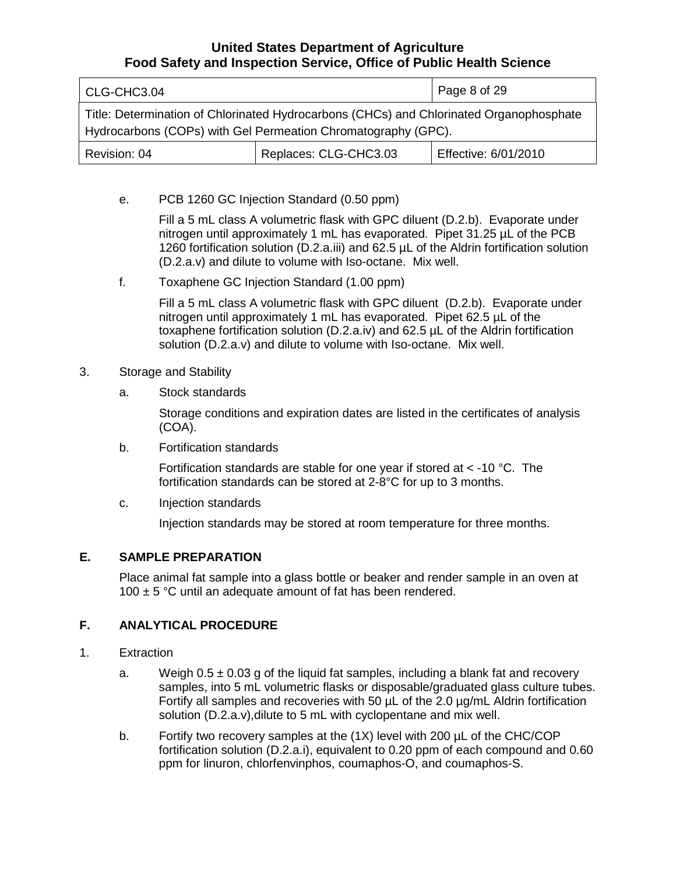| CLG-CHC3.04                                                                                                                                              |                       | Page 8 of 29         |
|----------------------------------------------------------------------------------------------------------------------------------------------------------|-----------------------|----------------------|
| Title: Determination of Chlorinated Hydrocarbons (CHCs) and Chlorinated Organophosphate<br>Hydrocarbons (COPs) with Gel Permeation Chromatography (GPC). |                       |                      |
| Revision: 04                                                                                                                                             | Replaces: CLG-CHC3.03 | Effective: 6/01/2010 |

e. PCB 1260 GC Injection Standard (0.50 ppm)

Fill a 5 mL class A volumetric flask with GPC diluent (D.2.b). Evaporate under nitrogen until approximately 1 mL has evaporated. Pipet 31.25 µL of the PCB 1260 fortification solution (D.2.a.iii) and 62.5 µL of the Aldrin fortification solution (D.2.a.v) and dilute to volume with Iso-octane. Mix well.

f. Toxaphene GC Injection Standard (1.00 ppm)

Fill a 5 mL class A volumetric flask with GPC diluent (D.2.b). Evaporate under nitrogen until approximately 1 mL has evaporated. Pipet 62.5 µL of the toxaphene fortification solution (D.2.a.iv) and 62.5 µL of the Aldrin fortification solution (D.2.a.v) and dilute to volume with Iso-octane. Mix well.

- 3. Storage and Stability
	- a. Stock standards

Storage conditions and expiration dates are listed in the certificates of analysis (COA).

b. Fortification standards

Fortification standards are stable for one year if stored at  $<$  -10 °C. The fortification standards can be stored at 2-8°C for up to 3 months.

c. Injection standards

Injection standards may be stored at room temperature for three months.

#### **E. SAMPLE PREPARATION**

Place animal fat sample into a glass bottle or beaker and render sample in an oven at 100  $\pm$  5 °C until an adequate amount of fat has been rendered.

#### **F. ANALYTICAL PROCEDURE**

- 1. Extraction
	- a. Weigh  $0.5 \pm 0.03$  g of the liquid fat samples, including a blank fat and recovery samples, into 5 mL volumetric flasks or disposable/graduated glass culture tubes. Fortify all samples and recoveries with 50 µL of the 2.0 µg/mL Aldrin fortification solution (D.2.a.v),dilute to 5 mL with cyclopentane and mix well.
	- b. Fortify two recovery samples at the (1X) level with 200 µL of the CHC/COP fortification solution (D.2.a.i), equivalent to 0.20 ppm of each compound and 0.60 ppm for linuron, chlorfenvinphos, coumaphos-O, and coumaphos-S.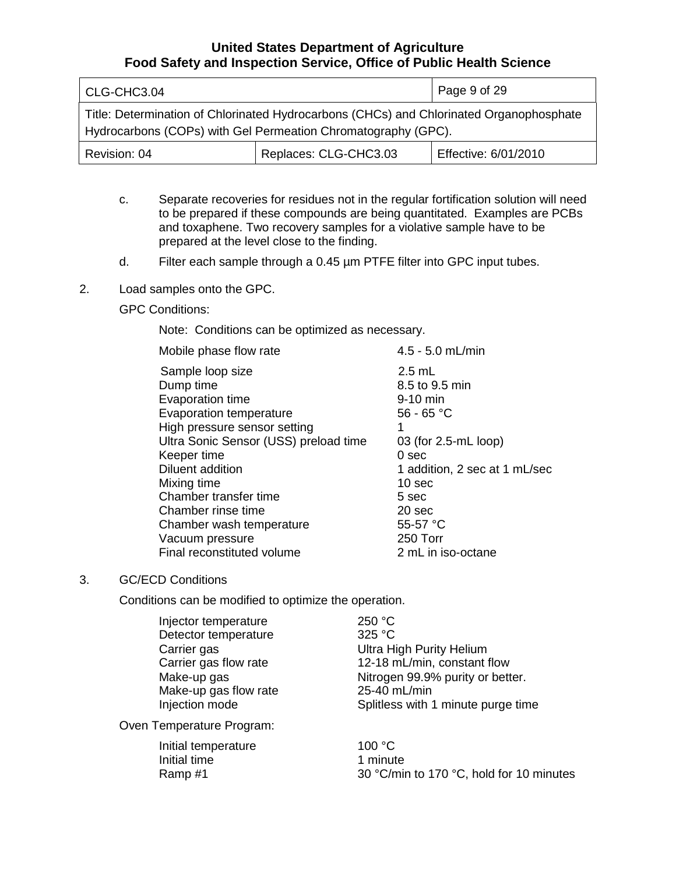| CLG-CHC3.04                                                                                                                                              | Page 9 of 29          |                      |  |  |
|----------------------------------------------------------------------------------------------------------------------------------------------------------|-----------------------|----------------------|--|--|
| Title: Determination of Chlorinated Hydrocarbons (CHCs) and Chlorinated Organophosphate<br>Hydrocarbons (COPs) with Gel Permeation Chromatography (GPC). |                       |                      |  |  |
| Revision: 04                                                                                                                                             | Replaces: CLG-CHC3.03 | Effective: 6/01/2010 |  |  |

- c. Separate recoveries for residues not in the regular fortification solution will need to be prepared if these compounds are being quantitated. Examples are PCBs and toxaphene. Two recovery samples for a violative sample have to be prepared at the level close to the finding.
- d. Filter each sample through a 0.45 µm PTFE filter into GPC input tubes.
- 2. Load samples onto the GPC.

### GPC Conditions:

Note: Conditions can be optimized as necessary.

| Mobile phase flow rate                | 4.5 - 5.0 mL/min              |
|---------------------------------------|-------------------------------|
| Sample loop size                      | $2.5$ mL                      |
| Dump time                             | 8.5 to 9.5 min                |
| Evaporation time                      | 9-10 min                      |
| Evaporation temperature               | $56 - 65 °C$                  |
| High pressure sensor setting          |                               |
| Ultra Sonic Sensor (USS) preload time | 03 (for 2.5-mL loop)          |
| Keeper time                           | 0 sec                         |
| Diluent addition                      | 1 addition, 2 sec at 1 mL/sec |
| Mixing time                           | 10 sec                        |
| Chamber transfer time                 | 5 sec                         |
| Chamber rinse time                    | 20 sec                        |
| Chamber wash temperature              | 55-57 $°C$                    |
| Vacuum pressure                       | 250 Torr                      |
| Final reconstituted volume            | 2 mL in iso-octane            |
|                                       |                               |

#### 3. GC/ECD Conditions

Conditions can be modified to optimize the operation.

| Injector temperature  | 250 °C                             |
|-----------------------|------------------------------------|
| Detector temperature  | 325 °C                             |
| Carrier gas           | <b>Ultra High Purity Helium</b>    |
| Carrier gas flow rate | 12-18 mL/min, constant flow        |
| Make-up gas           | Nitrogen 99.9% purity or better.   |
| Make-up gas flow rate | 25-40 mL/min                       |
| Injection mode        | Splitless with 1 minute purge time |

Oven Temperature Program:

| Initial temperature | 100 $\degree$ C                          |
|---------------------|------------------------------------------|
| Initial time        | 1 minute                                 |
| Ramp #1             | 30 °C/min to 170 °C, hold for 10 minutes |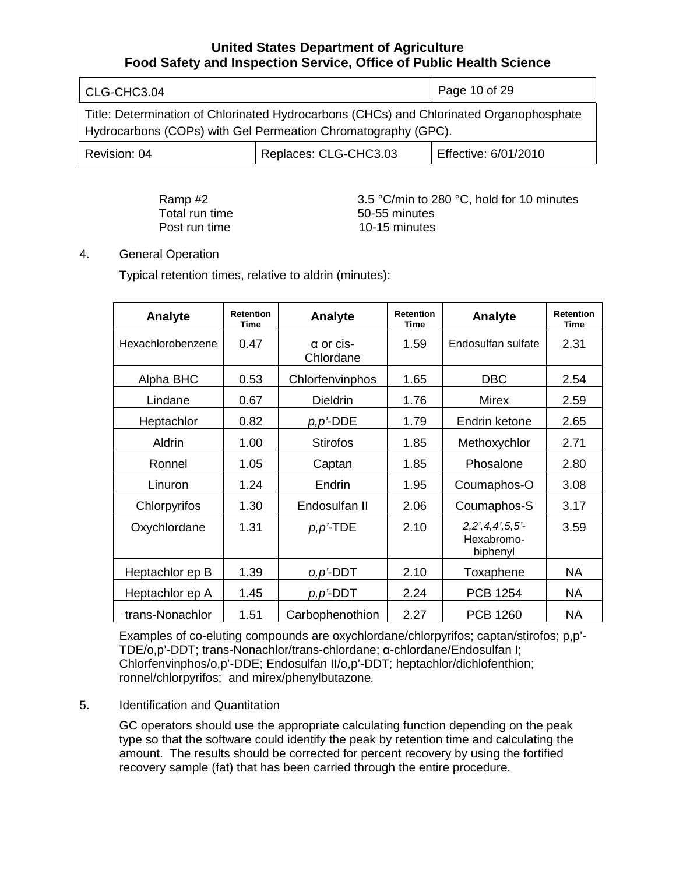| CLG-CHC3.04                                                                                                                                              | Page 10 of 29        |  |
|----------------------------------------------------------------------------------------------------------------------------------------------------------|----------------------|--|
| Title: Determination of Chlorinated Hydrocarbons (CHCs) and Chlorinated Organophosphate<br>Hydrocarbons (COPs) with Gel Permeation Chromatography (GPC). |                      |  |
| Revision: 04                                                                                                                                             | Effective: 6/01/2010 |  |

Total run time<br>
Post run time<br>  $10-15$  minutes

Ramp #2 3.5 °C/min to 280 °C, hold for 10 minutes 10-15 minutes

## 4. General Operation

Typical retention times, relative to aldrin (minutes):

| Analyte           | <b>Retention</b><br>Time | Analyte                       | <b>Retention</b><br><b>Time</b> | Analyte                               | <b>Retention</b><br><b>Time</b> |
|-------------------|--------------------------|-------------------------------|---------------------------------|---------------------------------------|---------------------------------|
| Hexachlorobenzene | 0.47                     | $\alpha$ or cis-<br>Chlordane | 1.59                            | Endosulfan sulfate                    | 2.31                            |
| Alpha BHC         | 0.53                     | Chlorfenvinphos               | 1.65                            | <b>DBC</b>                            | 2.54                            |
| Lindane           | 0.67                     | <b>Dieldrin</b>               | 1.76                            | Mirex                                 | 2.59                            |
| Heptachlor        | 0.82                     | $p, p$ '-DDE                  | 1.79                            | Endrin ketone                         | 2.65                            |
| Aldrin            | 1.00                     | <b>Stirofos</b>               | 1.85                            | Methoxychlor                          | 2.71                            |
| Ronnel            | 1.05                     | Captan                        | 1.85                            | Phosalone                             | 2.80                            |
| Linuron           | 1.24                     | Endrin                        | 1.95                            | Coumaphos-O                           | 3.08                            |
| Chlorpyrifos      | 1.30                     | Endosulfan II                 | 2.06                            | Coumaphos-S                           | 3.17                            |
| Oxychlordane      | 1.31                     | $p, p$ <sup>2</sup> TDE       | 2.10                            | 2,2,4,4,5,5<br>Hexabromo-<br>biphenyl | 3.59                            |
| Heptachlor ep B   | 1.39                     | $O, D^2$ -DDT                 | 2.10                            | Toxaphene                             | <b>NA</b>                       |
| Heptachlor ep A   | 1.45                     | $p, p$ <sup>2</sup> DDT       | 2.24                            | <b>PCB 1254</b>                       | <b>NA</b>                       |
| trans-Nonachlor   | 1.51                     | Carbophenothion               | 2.27                            | <b>PCB 1260</b>                       | <b>NA</b>                       |

Examples of co-eluting compounds are oxychlordane/chlorpyrifos; captan/stirofos; p,p'- TDE/o,p'-DDT; trans-Nonachlor/trans-chlordane; α-chlordane/Endosulfan I; Chlorfenvinphos/o,p'-DDE; Endosulfan II/o,p'-DDT; heptachlor/dichlofenthion; ronnel/chlorpyrifos; and mirex/phenylbutazone*.*

#### 5. Identification and Quantitation

GC operators should use the appropriate calculating function depending on the peak type so that the software could identify the peak by retention time and calculating the amount. The results should be corrected for percent recovery by using the fortified recovery sample (fat) that has been carried through the entire procedure.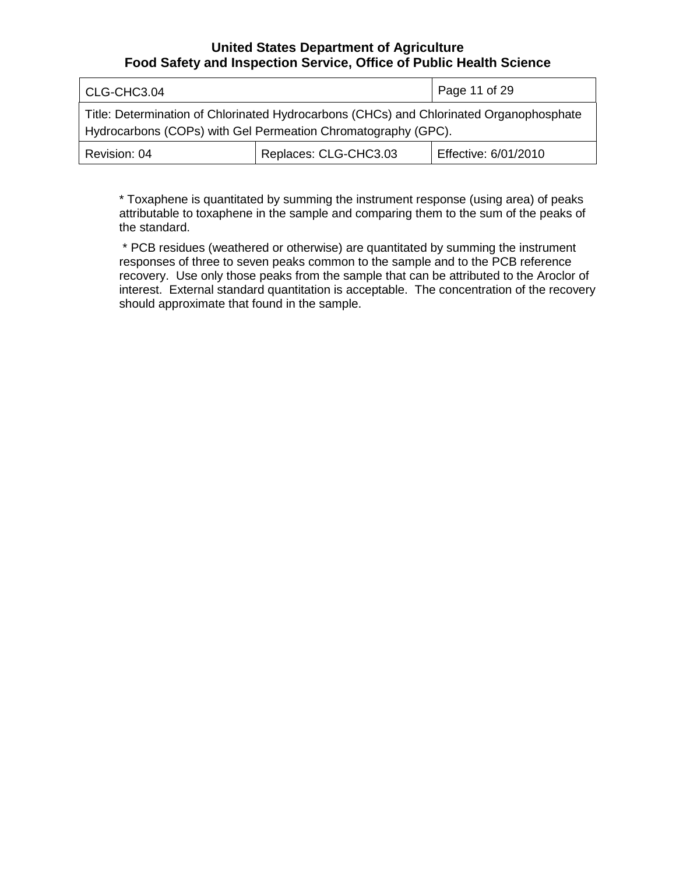| CLG-CHC3.04                                                                                                                                              | Page 11 of 29         |                      |  |
|----------------------------------------------------------------------------------------------------------------------------------------------------------|-----------------------|----------------------|--|
| Title: Determination of Chlorinated Hydrocarbons (CHCs) and Chlorinated Organophosphate<br>Hydrocarbons (COPs) with Gel Permeation Chromatography (GPC). |                       |                      |  |
| Revision: 04                                                                                                                                             | Replaces: CLG-CHC3.03 | Effective: 6/01/2010 |  |

\* Toxaphene is quantitated by summing the instrument response (using area) of peaks attributable to toxaphene in the sample and comparing them to the sum of the peaks of the standard.

\* PCB residues (weathered or otherwise) are quantitated by summing the instrument responses of three to seven peaks common to the sample and to the PCB reference recovery. Use only those peaks from the sample that can be attributed to the Aroclor of interest. External standard quantitation is acceptable. The concentration of the recovery should approximate that found in the sample.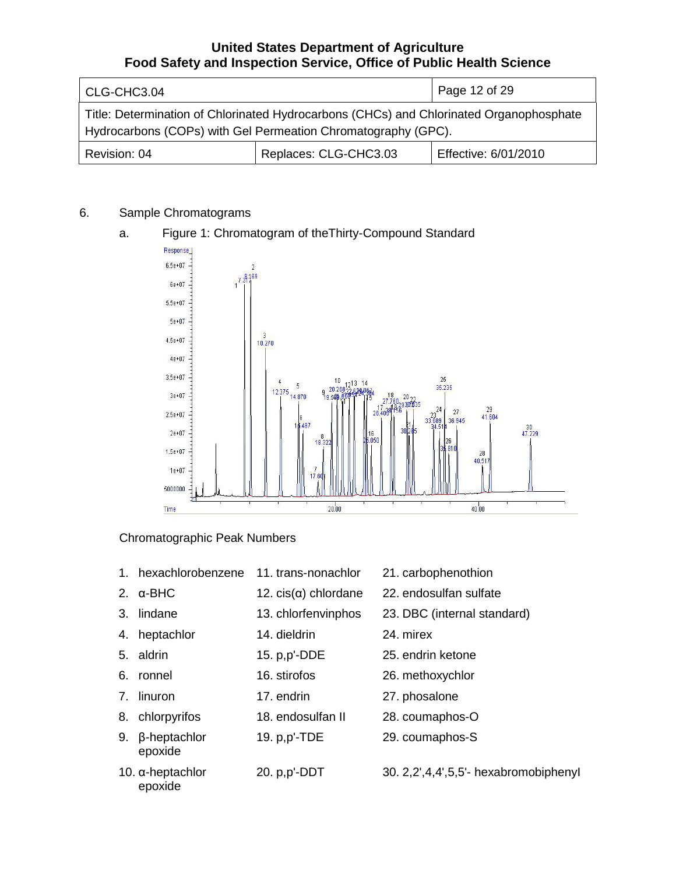| CLG-CHC3.04                                                                                                                                              | Page 12 of 29 |  |  |  |
|----------------------------------------------------------------------------------------------------------------------------------------------------------|---------------|--|--|--|
| Title: Determination of Chlorinated Hydrocarbons (CHCs) and Chlorinated Organophosphate<br>Hydrocarbons (COPs) with Gel Permeation Chromatography (GPC). |               |  |  |  |
| Replaces: CLG-CHC3.03<br>Effective: 6/01/2010<br>Revision: 04                                                                                            |               |  |  |  |

# 6. Sample Chromatograms

#### Response  $6.5e + 07$ 169  $\frac{1}{1}$  $6e+07$  $5.5e + 07$  $5e+07$  $\frac{3}{10.270}$  $4.5e + 07$  $4e + 07$  $3.5e + 07$  $\frac{25}{35.235}$ 10 5 20.26 12.375  $3e + 07$ 14,870  $21$ 24  $27$ 29  $2.5e + 07$ 41.604 36.945 689  $\frac{30}{47.229}$  $2e + 07$  $1.5e + 07$  $\frac{28}{40.51}$  $1e + 07$ 5000000  $20.00$  $40.00$ Time

# a. Figure 1: Chromatogram of theThirty-Compound Standard

# Chromatographic Peak Numbers

- 1. hexachlorobenzene 11. trans-nonachlor 21. carbophenothion
- 2.  $\alpha$ -BHC 12. cis( $\alpha$ ) chlordane 22. endosulfan sulfate
- 
- 4. heptachlor 14. dieldrin 24. mirex
- 
- 
- 7. linuron 17. endrin 27. phosalone
- 
- 9. β-heptachlor epoxide
- 10. α-heptachlor epoxide
- 
- 
- 3. lindane 13. chlorfenvinphos 23. DBC (internal standard)
	-
- 5. aldrin 15. p,p'-DDE 25. endrin ketone
- 6. ronnel 16. stirofos 26. methoxychlor
	-
- 8. chlorpyrifos 18. endosulfan II 28. coumaphos-O
	- 19. p,p'-TDE 29. coumaphos-S
	- 20. p,p'-DDT 30. 2,2',4,4',5,5'- hexabromobiphenyI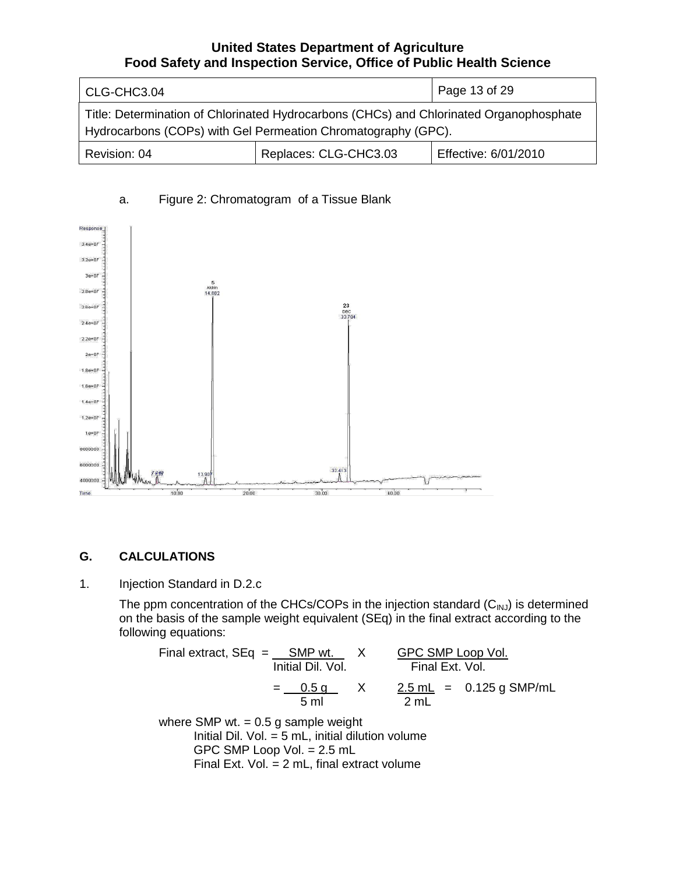| CLG-CHC3.04                                                                                                                                              | Page 13 of 29         |                      |  |
|----------------------------------------------------------------------------------------------------------------------------------------------------------|-----------------------|----------------------|--|
| Title: Determination of Chlorinated Hydrocarbons (CHCs) and Chlorinated Organophosphate<br>Hydrocarbons (COPs) with Gel Permeation Chromatography (GPC). |                       |                      |  |
| Revision: 04                                                                                                                                             | Replaces: CLG-CHC3.03 | Effective: 6/01/2010 |  |



# a. Figure 2: Chromatogram of a Tissue Blank

# **G. CALCULATIONS**

#### 1. Injection Standard in D.2.c

The ppm concentration of the CHCs/COPs in the injection standard  $(C_{\text{INJ}})$  is determined on the basis of the sample weight equivalent (SEq) in the final extract according to the following equations:

Final extract,  $SEq =$   $SMP wt.$   $X$   $GPC SMP Loop Vol.$ Initial Dil. Vol. Final Ext. Vol.  $X = 2.5$  mL = 0.125 g SMP/mL  $=$   $\frac{0.5 \text{ g}}{5 \text{ ml}}$   $\frac{2.5 \text{ ml}}{2 \text{ ml}}$ where SMP wt.  $= 0.5$  g sample weight

Initial Dil. Vol.  $=$  5 mL, initial dilution volume GPC SMP Loop Vol. = 2.5 mL Final Ext. Vol. = 2 mL, final extract volume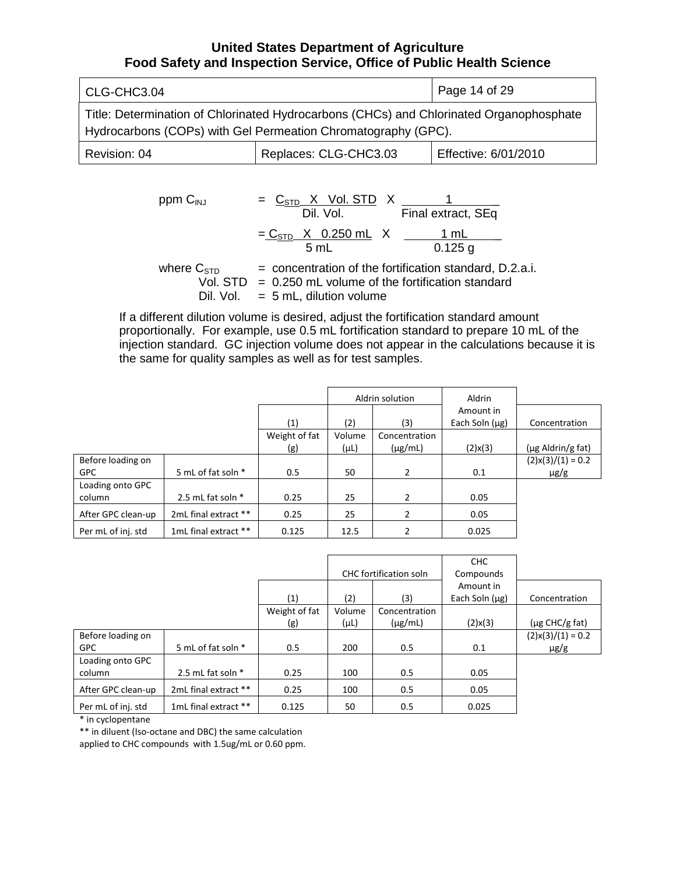| CLG-CHC3.04                                                                                                                                              | Page 14 of 29 |  |  |
|----------------------------------------------------------------------------------------------------------------------------------------------------------|---------------|--|--|
| Title: Determination of Chlorinated Hydrocarbons (CHCs) and Chlorinated Organophosphate<br>Hydrocarbons (COPs) with Gel Permeation Chromatography (GPC). |               |  |  |
| Replaces: CLG-CHC3.03<br>Effective: 6/01/2010<br>Revision: 04                                                                                            |               |  |  |

ppm C<sub>INJ</sub> = 
$$
\frac{C_{\text{STD}} \times \text{Vol. STD}}{\text{Dil. Vol.}} \times \frac{1}{\text{Final extract, SEq}}
$$
  
\n=  $\frac{C_{\text{STD}} \times 0.250 \text{ mL}}{5 \text{ mL}} \times \frac{1 \text{ mL}}{0.125 \text{ g}}$   
\nwhere C<sub>STD</sub> = concentration of the fortification standard, D.2.a.i.  
\n $\frac{Vol_{\text{STD}}}{\text{N}} = 0.250 \text{ mJ}$  values of the fortification standard

Vol.  $STD = 0.250$  mL volume of the fortification standard Dil. Vol.  $= 5$  mL, dilution volume

If a different dilution volume is desired, adjust the fortification standard amount proportionally. For example, use 0.5 mL fortification standard to prepare 10 mL of the injection standard. GC injection volume does not appear in the calculations because it is the same for quality samples as well as for test samples.

|                    |                      |               |           | Aldrin solution | Aldrin              |                        |
|--------------------|----------------------|---------------|-----------|-----------------|---------------------|------------------------|
|                    |                      |               |           |                 | Amount in           |                        |
|                    |                      | (1)           | (2)       | (3)             | Each Soln $(\mu g)$ | Concentration          |
|                    |                      | Weight of fat | Volume    | Concentration   |                     |                        |
|                    |                      | (g)           | $(\mu L)$ | $(\mu g/mL)$    | $(2)$ x $(3)$       | $(\mu$ g Aldrin/g fat) |
| Before loading on  |                      |               |           |                 |                     | $(2)x(3)/(1) = 0.2$    |
| <b>GPC</b>         | 5 mL of fat soln *   | 0.5           | 50        | 2               | 0.1                 | $\mu$ g/g              |
| Loading onto GPC   |                      |               |           |                 |                     |                        |
| column             | 2.5 mL fat soln *    | 0.25          | 25        | 2               | 0.05                |                        |
| After GPC clean-up | 2mL final extract ** | 0.25          | 25        |                 | 0.05                |                        |
| Per mL of inj. std | 1mL final extract ** | 0.125         | 12.5      |                 | 0.025               |                        |

|                    |                      |               |           | <b>CHC</b> fortification soln | CHC<br>Compounds    |                     |
|--------------------|----------------------|---------------|-----------|-------------------------------|---------------------|---------------------|
|                    |                      |               |           |                               | Amount in           |                     |
|                    |                      | (1)           | (2)       | (3)                           | Each Soln $(\mu g)$ | Concentration       |
|                    |                      | Weight of fat | Volume    | Concentration                 |                     |                     |
|                    |                      | (g)           | $(\mu L)$ | $(\mu g/mL)$                  | $(2)$ x $(3)$       | $(\mu g$ CHC/g fat) |
| Before loading on  |                      |               |           |                               |                     | $(2)x(3)/(1) = 0.2$ |
| <b>GPC</b>         | 5 mL of fat soln *   | 0.5           | 200       | 0.5                           | 0.1                 | $\mu$ g/g           |
| Loading onto GPC   |                      |               |           |                               |                     |                     |
| column             | 2.5 mL fat soln $*$  | 0.25          | 100       | 0.5                           | 0.05                |                     |
| After GPC clean-up | 2mL final extract ** | 0.25          | 100       | 0.5                           | 0.05                |                     |
| Per mL of inj. std | 1mL final extract ** | 0.125         | 50        | 0.5                           | 0.025               |                     |

\* in cyclopentane

\*\* in diluent (Iso-octane and DBC) the same calculation

applied to CHC compounds with 1.5ug/mL or 0.60 ppm.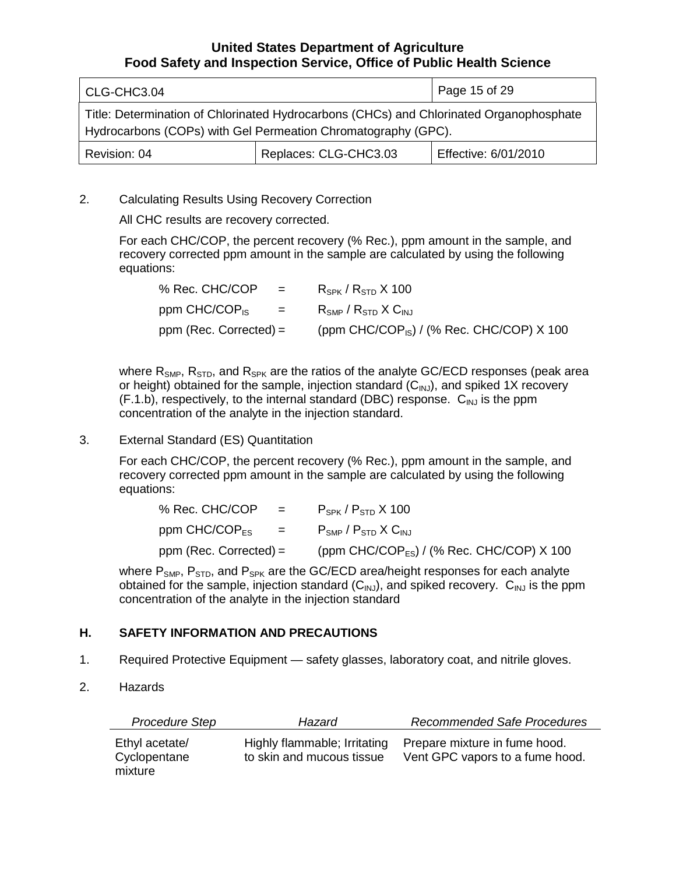| CLG-CHC3.04                                                                                                                                              |                       | Page 15 of 29        |
|----------------------------------------------------------------------------------------------------------------------------------------------------------|-----------------------|----------------------|
| Title: Determination of Chlorinated Hydrocarbons (CHCs) and Chlorinated Organophosphate<br>Hydrocarbons (COPs) with Gel Permeation Chromatography (GPC). |                       |                      |
| Revision: 04                                                                                                                                             | Replaces: CLG-CHC3.03 | Effective: 6/01/2010 |

2. Calculating Results Using Recovery Correction

All CHC results are recovery corrected.

For each CHC/COP, the percent recovery (% Rec.), ppm amount in the sample, and recovery corrected ppm amount in the sample are calculated by using the following equations:

| % Rec. CHC/COP<br>$\mathbf{r} = \mathbf{r}$            | $R_{SPK}$ / $R_{STD}$ X 100                             |
|--------------------------------------------------------|---------------------------------------------------------|
| ppm CHC/COP <sub>IS</sub><br>$\mathbf{r} = \mathbf{r}$ | $R_{\text{SMP}}$ / $R_{\text{STD}}$ X $C_{\text{INL}}$  |
| ppm (Rec. Corrected) =                                 | (ppm CHC/COP <sub>IS</sub> ) / (% Rec. CHC/COP) $X$ 100 |

where  $R_{\text{SMP}}$ ,  $R_{\text{STD}}$ , and  $R_{\text{SPK}}$  are the ratios of the analyte GC/ECD responses (peak area or height) obtained for the sample, injection standard  $(C_{INJ})$ , and spiked 1X recovery  $(F.1.b)$ , respectively, to the internal standard (DBC) response.  $C_{\text{INJ}}$  is the ppm concentration of the analyte in the injection standard.

## 3. External Standard (ES) Quantitation

For each CHC/COP, the percent recovery (% Rec.), ppm amount in the sample, and recovery corrected ppm amount in the sample are calculated by using the following equations:

| % Rec. CHC/COP<br>$\mathbf{r} = \mathbf{r} \mathbf{r}$ and $\mathbf{r} = \mathbf{r} \mathbf{r}$ | $\mathsf{P}_{\mathsf{SPK}}$ / $\mathsf{P}_{\mathsf{STD}}$ X 100 |
|-------------------------------------------------------------------------------------------------|-----------------------------------------------------------------|
| ppm CHC/COP <sub>ES</sub> = $P_{SNP}$ / $P_{STD}$ X C <sub>INJ</sub>                            |                                                                 |
| $ppm$ (Rec. Corrected) =                                                                        | (ppm CHC/COP <sub>FS</sub> ) / (% Rec. CHC/COP) $X$ 100         |

where  $P_{SNP}$ ,  $P_{STD}$ , and  $P_{SPK}$  are the GC/ECD area/height responses for each analyte obtained for the sample, injection standard  $(C_{\text{IMJ}})$ , and spiked recovery.  $C_{\text{IMJ}}$  is the ppm concentration of the analyte in the injection standard

# **H. SAFETY INFORMATION AND PRECAUTIONS**

- 1. Required Protective Equipment safety glasses, laboratory coat, and nitrile gloves.
- 2. Hazards

| Procedure Step                            | Hazard                                                    | <b>Recommended Safe Procedures</b>                               |
|-------------------------------------------|-----------------------------------------------------------|------------------------------------------------------------------|
| Ethyl acetate/<br>Cyclopentane<br>mixture | Highly flammable; Irritating<br>to skin and mucous tissue | Prepare mixture in fume hood.<br>Vent GPC vapors to a fume hood. |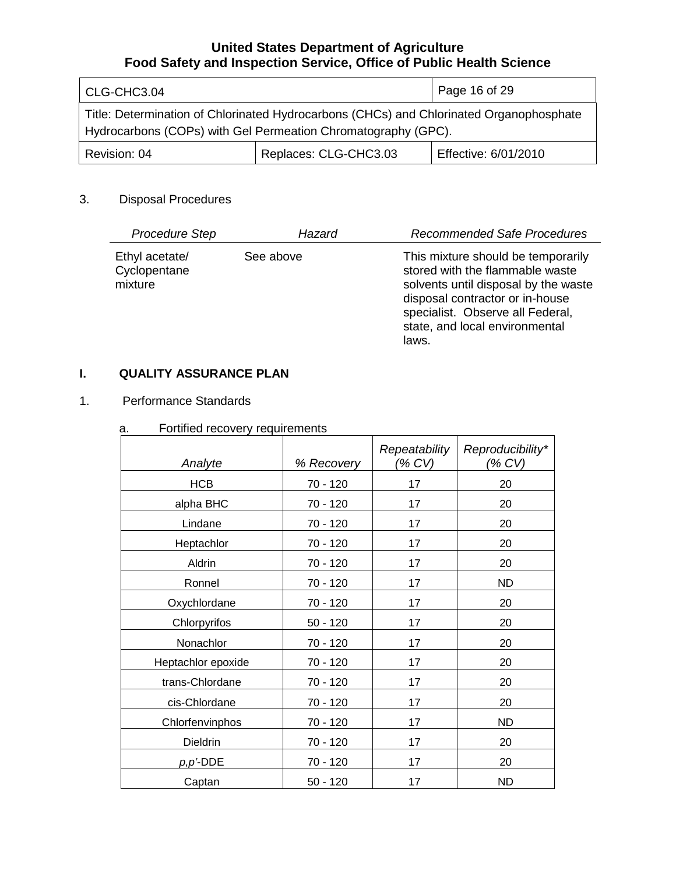| CLG-CHC3.04                                                                                                                                              |                       | Page 16 of 29        |
|----------------------------------------------------------------------------------------------------------------------------------------------------------|-----------------------|----------------------|
| Title: Determination of Chlorinated Hydrocarbons (CHCs) and Chlorinated Organophosphate<br>Hydrocarbons (COPs) with Gel Permeation Chromatography (GPC). |                       |                      |
| Revision: 04                                                                                                                                             | Replaces: CLG-CHC3.03 | Effective: 6/01/2010 |

## 3. Disposal Procedures

| Procedure Step                            | Hazard    | <b>Recommended Safe Procedures</b>                                                                                                                                                                                              |
|-------------------------------------------|-----------|---------------------------------------------------------------------------------------------------------------------------------------------------------------------------------------------------------------------------------|
| Ethyl acetate/<br>Cyclopentane<br>mixture | See above | This mixture should be temporarily<br>stored with the flammable waste<br>solvents until disposal by the waste<br>disposal contractor or in-house<br>specialist. Observe all Federal,<br>state, and local environmental<br>laws. |

# **I. QUALITY ASSURANCE PLAN**

## 1. Performance Standards

# a. Fortified recovery requirements

| Analyte            | % Recovery | Repeatability<br>(% CV) | Reproducibility*<br>(% CV) |
|--------------------|------------|-------------------------|----------------------------|
| <b>HCB</b>         | 70 - 120   | 17                      | 20                         |
| alpha BHC          | 70 - 120   | 17                      | 20                         |
| Lindane            | 70 - 120   | 17                      | 20                         |
| Heptachlor         | 70 - 120   | 17                      | 20                         |
| Aldrin             | 70 - 120   | 17                      | 20                         |
| Ronnel             | 70 - 120   | 17                      | <b>ND</b>                  |
| Oxychlordane       | 70 - 120   | 17                      | 20                         |
| Chlorpyrifos       | $50 - 120$ | 17                      | 20                         |
| Nonachlor          | 70 - 120   | 17                      | 20                         |
| Heptachlor epoxide | 70 - 120   | 17                      | 20                         |
| trans-Chlordane    | 70 - 120   | 17                      | 20                         |
| cis-Chlordane      | 70 - 120   | 17                      | 20                         |
| Chlorfenvinphos    | 70 - 120   | 17                      | <b>ND</b>                  |
| Dieldrin           | 70 - 120   | 17                      | 20                         |
| $p, p$ '-DDE       | 70 - 120   | 17                      | 20                         |
| Captan             | $50 - 120$ | 17                      | <b>ND</b>                  |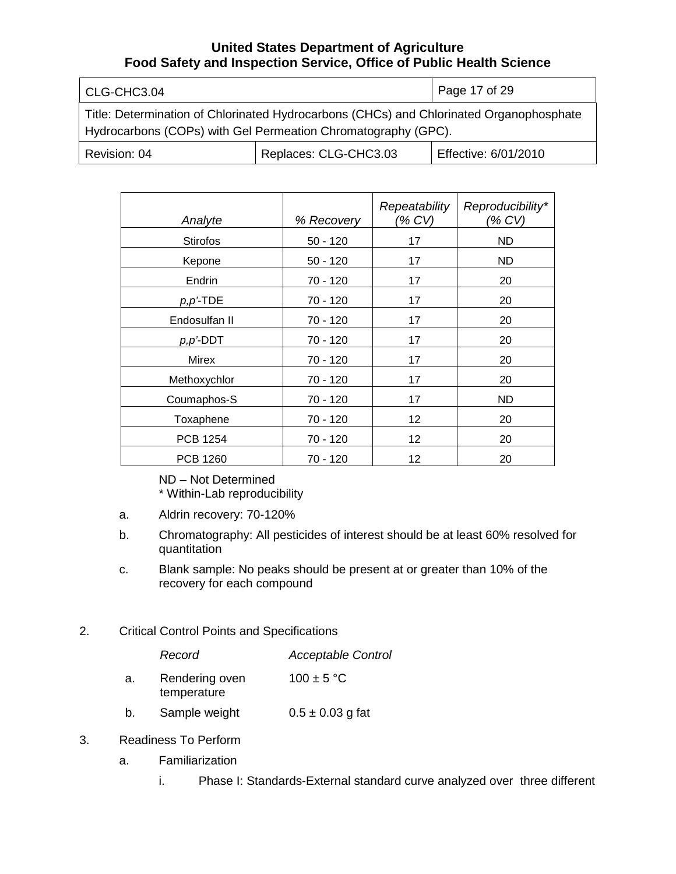| CLG-CHC3.04                                                                                                                                              |                       | Page 17 of 29        |  |
|----------------------------------------------------------------------------------------------------------------------------------------------------------|-----------------------|----------------------|--|
| Title: Determination of Chlorinated Hydrocarbons (CHCs) and Chlorinated Organophosphate<br>Hydrocarbons (COPs) with Gel Permeation Chromatography (GPC). |                       |                      |  |
| Revision: 04                                                                                                                                             | Replaces: CLG-CHC3.03 | Effective: 6/01/2010 |  |

| Analyte         | % Recovery | Repeatability<br>(% CV) | Reproducibility*<br>(% CV) |
|-----------------|------------|-------------------------|----------------------------|
| <b>Stirofos</b> | $50 - 120$ | 17                      | <b>ND</b>                  |
| Kepone          | $50 - 120$ | 17                      | ND.                        |
| Endrin          | 70 - 120   | 17                      | 20                         |
| $p, p'$ -TDE    | 70 - 120   | 17                      | 20                         |
| Endosulfan II   | 70 - 120   | 17                      | 20                         |
| $p, p'$ -DDT    | 70 - 120   | 17                      | 20                         |
| <b>Mirex</b>    | 70 - 120   | 17                      | 20                         |
| Methoxychlor    | 70 - 120   | 17                      | 20                         |
| Coumaphos-S     | 70 - 120   | 17                      | ND                         |
| Toxaphene       | 70 - 120   | 12                      | 20                         |
| <b>PCB 1254</b> | 70 - 120   | 12                      | 20                         |
| <b>PCB 1260</b> | 70 - 120   | 12                      | 20                         |

ND – Not Determined \* Within-Lab reproducibility

- a. Aldrin recovery: 70-120%
- b. Chromatography: All pesticides of interest should be at least 60% resolved for quantitation
- c. Blank sample: No peaks should be present at or greater than 10% of the recovery for each compound
- 2. Critical Control Points and Specifications

| Record | <b>Acceptable Control</b> |
|--------|---------------------------|
|        |                           |

- a. Rendering oven temperature  $100 \pm 5$  °C
- b. Sample weight  $0.5 \pm 0.03$  g fat
- 3. Readiness To Perform
	- a. Familiarization
		- i. Phase I: Standards-External standard curve analyzed over three different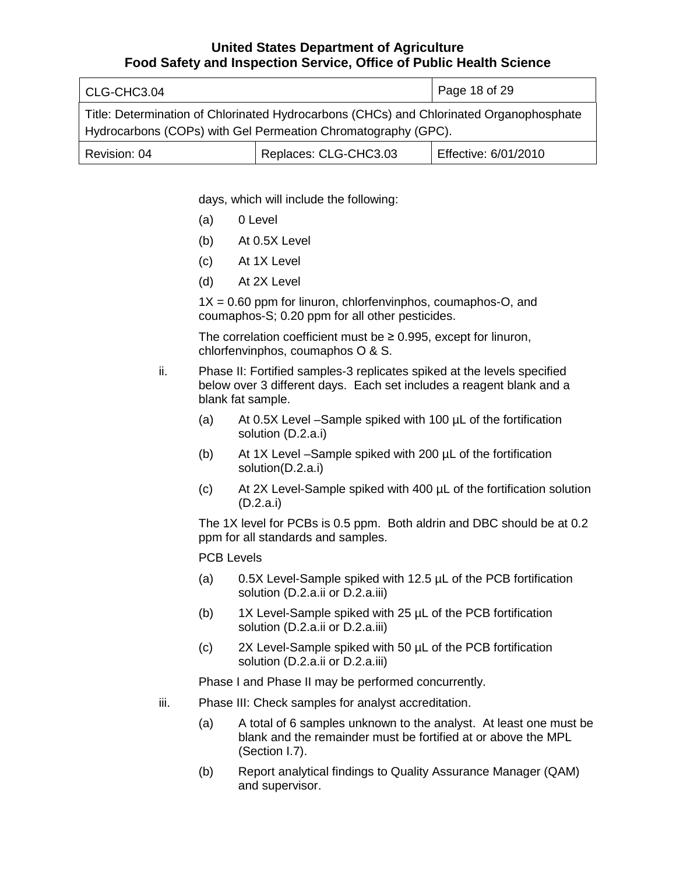| CLG-CHC3.04                                                                                                                                              |                       | Page 18 of 29        |  |
|----------------------------------------------------------------------------------------------------------------------------------------------------------|-----------------------|----------------------|--|
| Title: Determination of Chlorinated Hydrocarbons (CHCs) and Chlorinated Organophosphate<br>Hydrocarbons (COPs) with Gel Permeation Chromatography (GPC). |                       |                      |  |
| Revision: 04                                                                                                                                             | Replaces: CLG-CHC3.03 | Effective: 6/01/2010 |  |

days, which will include the following:

- (a) 0 Level
- (b) At 0.5X Level
- (c) At 1X Level
- (d) At 2X Level

 $1X = 0.60$  ppm for linuron, chlorfenvinphos, coumaphos-O, and coumaphos-S; 0.20 ppm for all other pesticides.

The correlation coefficient must be  $\geq 0.995$ , except for linuron, chlorfenvinphos, coumaphos O & S.

ii. Phase II: Fortified samples-3 replicates spiked at the levels specified below over 3 different days. Each set includes a reagent blank and a blank fat sample.

- (a) At 0.5X Level –Sample spiked with 100 µL of the fortification solution (D.2.a.i)
- (b) At 1X Level –Sample spiked with 200 µL of the fortification solution(D.2.a.i)
- (c) At 2X Level-Sample spiked with 400 µL of the fortification solution (D.2.a.i)

The 1X level for PCBs is 0.5 ppm. Both aldrin and DBC should be at 0.2 ppm for all standards and samples.

#### PCB Levels

- (a) 0.5X Level-Sample spiked with 12.5 µL of the PCB fortification solution (D.2.a.ii or D.2.a.iii)
- (b) 1X Level-Sample spiked with 25 µL of the PCB fortification solution (D.2.a.ii or D.2.a.iii)
- (c) 2X Level-Sample spiked with 50 µL of the PCB fortification solution (D.2.a.ii or D.2.a.iii)

Phase I and Phase II may be performed concurrently.

- iii. Phase III: Check samples for analyst accreditation.
	- (a) A total of 6 samples unknown to the analyst. At least one must be blank and the remainder must be fortified at or above the MPL (Section I.7).
	- (b) Report analytical findings to Quality Assurance Manager (QAM) and supervisor.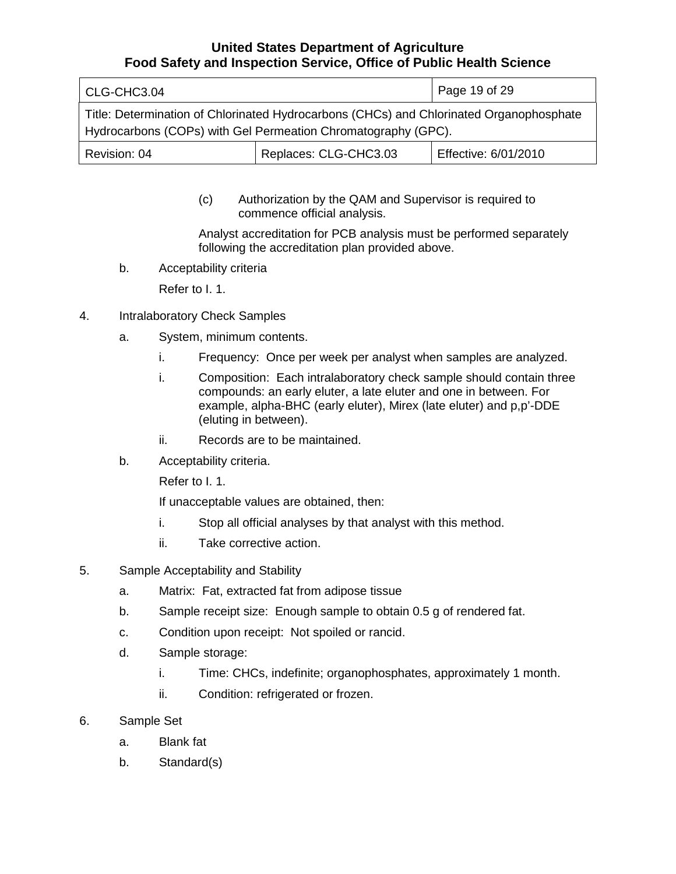| CLG-CHC3.04                                                                                                                                              |                       | Page 19 of 29        |
|----------------------------------------------------------------------------------------------------------------------------------------------------------|-----------------------|----------------------|
| Title: Determination of Chlorinated Hydrocarbons (CHCs) and Chlorinated Organophosphate<br>Hydrocarbons (COPs) with Gel Permeation Chromatography (GPC). |                       |                      |
| Revision: 04                                                                                                                                             | Replaces: CLG-CHC3.03 | Effective: 6/01/2010 |

(c) Authorization by the QAM and Supervisor is required to commence official analysis.

Analyst accreditation for PCB analysis must be performed separately following the accreditation plan provided above.

b. Acceptability criteria

Refer to I. 1.

- 4. Intralaboratory Check Samples
	- a. System, minimum contents.
		- i. Frequency: Once per week per analyst when samples are analyzed.
		- i. Composition: Each intralaboratory check sample should contain three compounds: an early eluter, a late eluter and one in between. For example, alpha-BHC (early eluter), Mirex (late eluter) and p,p'-DDE (eluting in between).
		- ii. Records are to be maintained.
	- b. Acceptability criteria.

Refer to I. 1.

If unacceptable values are obtained, then:

- i. Stop all official analyses by that analyst with this method.
- ii. Take corrective action.
- 5. Sample Acceptability and Stability
	- a. Matrix: Fat, extracted fat from adipose tissue
	- b. Sample receipt size: Enough sample to obtain 0.5 g of rendered fat.
	- c. Condition upon receipt: Not spoiled or rancid.
	- d. Sample storage:
		- i. Time: CHCs, indefinite; organophosphates, approximately 1 month.
		- ii. Condition: refrigerated or frozen.
- 6. Sample Set
	- a. Blank fat
	- b. Standard(s)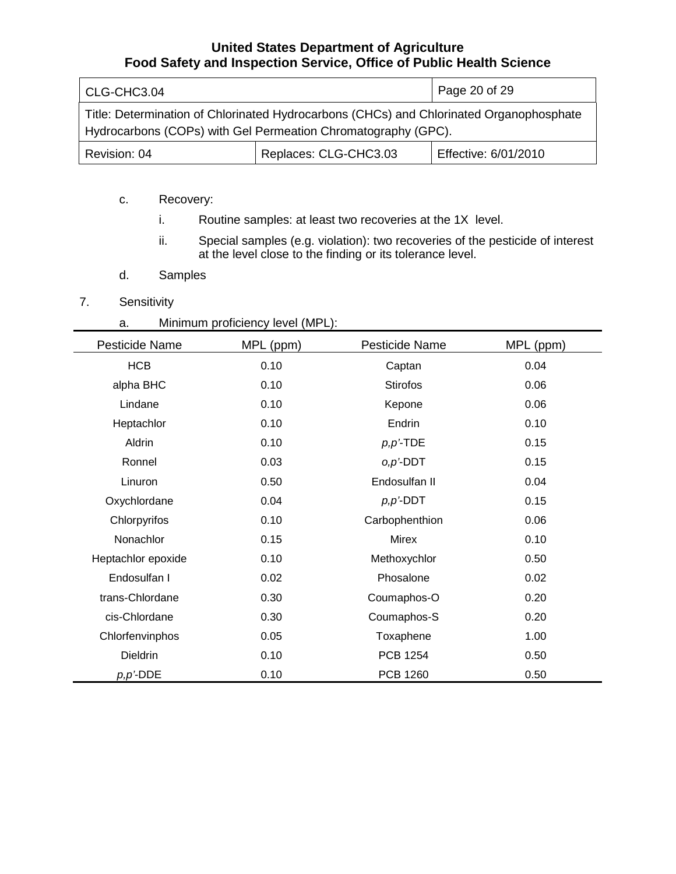| CLG-CHC3.04                                                                                                                                              |                       | Page 20 of 29        |
|----------------------------------------------------------------------------------------------------------------------------------------------------------|-----------------------|----------------------|
| Title: Determination of Chlorinated Hydrocarbons (CHCs) and Chlorinated Organophosphate<br>Hydrocarbons (COPs) with Gel Permeation Chromatography (GPC). |                       |                      |
| Revision: 04                                                                                                                                             | Replaces: CLG-CHC3.03 | Effective: 6/01/2010 |

- c. Recovery:
	- i. Routine samples: at least two recoveries at the 1X level.
	- ii. Special samples (e.g. violation): two recoveries of the pesticide of interest at the level close to the finding or its tolerance level.
- d. Samples
- 7. Sensitivity
	- a. Minimum proficiency level (MPL):

| Pesticide Name     | MPL (ppm) | Pesticide Name  | MPL (ppm) |
|--------------------|-----------|-----------------|-----------|
| <b>HCB</b>         | 0.10      | Captan          | 0.04      |
| alpha BHC          | 0.10      | <b>Stirofos</b> | 0.06      |
| Lindane            | 0.10      | Kepone          | 0.06      |
| Heptachlor         | 0.10      | Endrin          | 0.10      |
| Aldrin             | 0.10      | $p, p'$ -TDE    | 0.15      |
| Ronnel             | 0.03      | $o, p'$ -DDT    | 0.15      |
| Linuron            | 0.50      | Endosulfan II   | 0.04      |
| Oxychlordane       | 0.04      | $p, p$ '-DDT    | 0.15      |
| Chlorpyrifos       | 0.10      | Carbophenthion  | 0.06      |
| Nonachlor          | 0.15      | <b>Mirex</b>    | 0.10      |
| Heptachlor epoxide | 0.10      | Methoxychlor    | 0.50      |
| Endosulfan I       | 0.02      | Phosalone       | 0.02      |
| trans-Chlordane    | 0.30      | Coumaphos-O     | 0.20      |
| cis-Chlordane      | 0.30      | Coumaphos-S     | 0.20      |
| Chlorfenvinphos    | 0.05      | Toxaphene       | 1.00      |
| <b>Dieldrin</b>    | 0.10      | <b>PCB 1254</b> | 0.50      |
| $p, p'$ -DDE       | 0.10      | <b>PCB 1260</b> | 0.50      |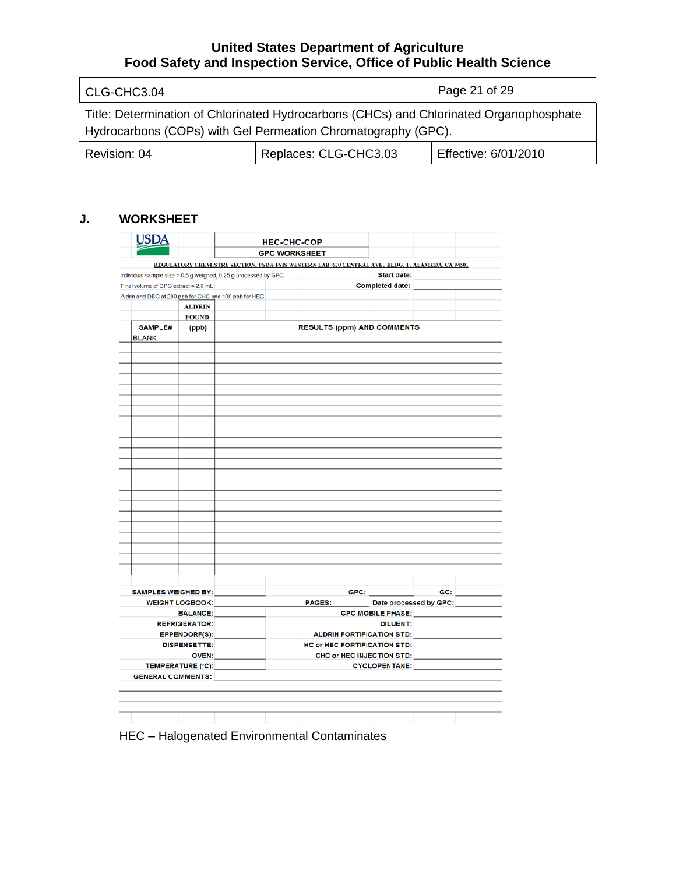| CLG-CHC3.04                                                                                                                                              |                       | Page 21 of 29        |
|----------------------------------------------------------------------------------------------------------------------------------------------------------|-----------------------|----------------------|
| Title: Determination of Chlorinated Hydrocarbons (CHCs) and Chlorinated Organophosphate<br>Hydrocarbons (COPs) with Gel Permeation Chromatography (GPC). |                       |                      |
| Revision: 04                                                                                                                                             | Replaces: CLG-CHC3.03 | Effective: 6/01/2010 |

# **J. WORKSHEET**

| <b>USDA</b>                                                     |                      | <b>HEC-CHC-COP</b><br><b>GPC WORKSHEET</b> |  |                                                                                                  |                          |                        |  |
|-----------------------------------------------------------------|----------------------|--------------------------------------------|--|--------------------------------------------------------------------------------------------------|--------------------------|------------------------|--|
|                                                                 |                      |                                            |  |                                                                                                  |                          |                        |  |
|                                                                 |                      |                                            |  | REGULATORY CHEMISTRY SECTION, USDA-FSIS WESTERN LAB 620 CENTRAL AVE., BLDG. 1, ALAMEDA, CA 94501 |                          |                        |  |
| Individual sample size = 0.5 g weighed, 0.25 g processed by GPC |                      |                                            |  |                                                                                                  | <b>Start date:</b>       |                        |  |
| Final volume of GPC extract = 2.0 mL                            |                      |                                            |  |                                                                                                  | <b>Completed date:</b>   |                        |  |
| Aldrin and DBC at 200 ppb for CHC and 100 ppb for HEC           |                      |                                            |  |                                                                                                  |                          |                        |  |
|                                                                 | <b>ALDRIN</b>        |                                            |  |                                                                                                  |                          |                        |  |
|                                                                 | <b>FOUND</b>         |                                            |  |                                                                                                  |                          |                        |  |
| SAMPLE#                                                         | (ppb)                |                                            |  | <b>RESULTS (ppm) AND COMMENTS</b>                                                                |                          |                        |  |
| <b>BLANK</b>                                                    |                      |                                            |  |                                                                                                  |                          |                        |  |
|                                                                 |                      |                                            |  |                                                                                                  |                          |                        |  |
|                                                                 |                      |                                            |  |                                                                                                  |                          |                        |  |
|                                                                 |                      |                                            |  |                                                                                                  |                          |                        |  |
|                                                                 |                      |                                            |  |                                                                                                  |                          |                        |  |
|                                                                 |                      |                                            |  |                                                                                                  |                          |                        |  |
|                                                                 |                      |                                            |  |                                                                                                  |                          |                        |  |
|                                                                 |                      |                                            |  |                                                                                                  |                          |                        |  |
|                                                                 |                      |                                            |  |                                                                                                  |                          |                        |  |
|                                                                 |                      |                                            |  |                                                                                                  |                          |                        |  |
|                                                                 |                      |                                            |  |                                                                                                  |                          |                        |  |
|                                                                 |                      |                                            |  |                                                                                                  |                          |                        |  |
|                                                                 |                      |                                            |  |                                                                                                  |                          |                        |  |
|                                                                 |                      |                                            |  |                                                                                                  |                          |                        |  |
|                                                                 |                      |                                            |  |                                                                                                  |                          |                        |  |
|                                                                 |                      |                                            |  |                                                                                                  |                          |                        |  |
|                                                                 |                      |                                            |  |                                                                                                  |                          |                        |  |
|                                                                 |                      |                                            |  |                                                                                                  |                          |                        |  |
|                                                                 |                      |                                            |  |                                                                                                  |                          |                        |  |
|                                                                 |                      |                                            |  |                                                                                                  |                          |                        |  |
|                                                                 |                      |                                            |  |                                                                                                  |                          |                        |  |
|                                                                 |                      |                                            |  |                                                                                                  |                          |                        |  |
|                                                                 |                      |                                            |  |                                                                                                  |                          |                        |  |
|                                                                 |                      |                                            |  |                                                                                                  |                          |                        |  |
|                                                                 |                      |                                            |  |                                                                                                  |                          |                        |  |
|                                                                 |                      |                                            |  |                                                                                                  |                          |                        |  |
|                                                                 |                      |                                            |  |                                                                                                  |                          | GC:                    |  |
|                                                                 |                      |                                            |  | GPC:                                                                                             |                          |                        |  |
| <b>SAMPLES WEIGHED BY:</b><br><b>WEIGHT LOGBOOK:</b>            |                      |                                            |  | <b>PAGES:</b>                                                                                    |                          | Date processed by GPC: |  |
|                                                                 | <b>BALANCE:</b>      |                                            |  |                                                                                                  | <b>GPC MOBILE PHASE:</b> |                        |  |
|                                                                 | <b>REFRIGERATOR:</b> |                                            |  |                                                                                                  | <b>DILUENT:</b>          |                        |  |
|                                                                 | <b>EPPENDORF(S):</b> |                                            |  | <b>ALDRIN FORTIFICATION STD:</b>                                                                 |                          |                        |  |
|                                                                 | <b>DISPENSETTE:</b>  |                                            |  | <b>HC or HEC FORTIFICATION STD:</b>                                                              |                          |                        |  |
|                                                                 | <b>OVEN:</b>         |                                            |  | CHC or HEC INJECTION STD:                                                                        |                          |                        |  |
| <b>TEMPERATURE (°C):</b>                                        |                      |                                            |  |                                                                                                  | <b>CYCLOPENTANE:</b>     |                        |  |
| <b>GENERAL COMMENTS:</b>                                        |                      |                                            |  |                                                                                                  |                          |                        |  |
|                                                                 |                      |                                            |  |                                                                                                  |                          |                        |  |
|                                                                 |                      |                                            |  |                                                                                                  |                          |                        |  |

HEC – Halogenated Environmental Contaminates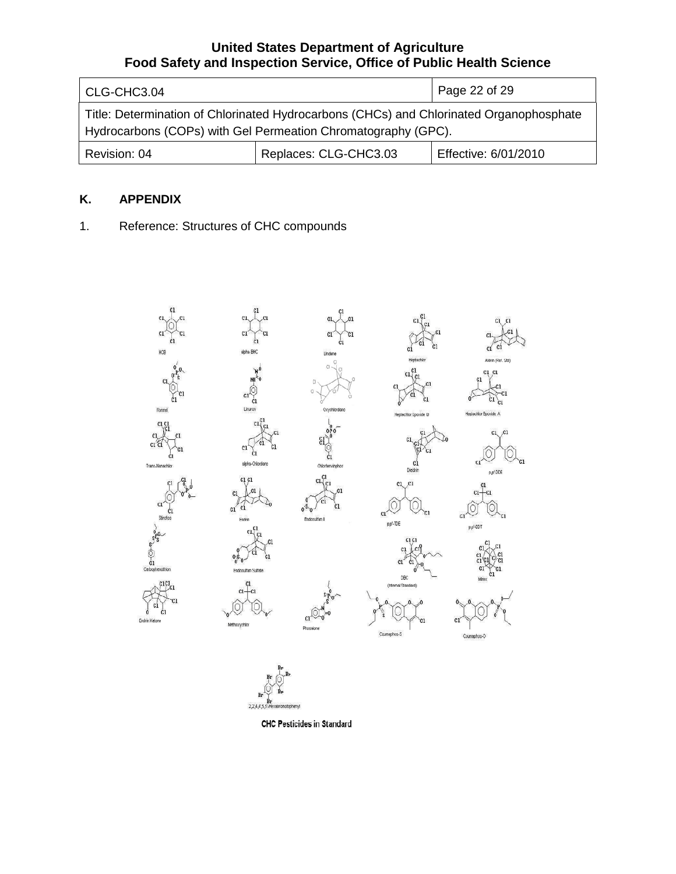| CLG-CHC3.04                                                                                                                                              |                       | Page 22 of 29        |
|----------------------------------------------------------------------------------------------------------------------------------------------------------|-----------------------|----------------------|
| Title: Determination of Chlorinated Hydrocarbons (CHCs) and Chlorinated Organophosphate<br>Hydrocarbons (COPs) with Gel Permeation Chromatography (GPC). |                       |                      |
| Revision: 04                                                                                                                                             | Replaces: CLG-CHC3.03 | Effective: 6/01/2010 |

# **K. APPENDIX**

1. Reference: Structures of CHC compounds



**CHC Pesticides in Standard**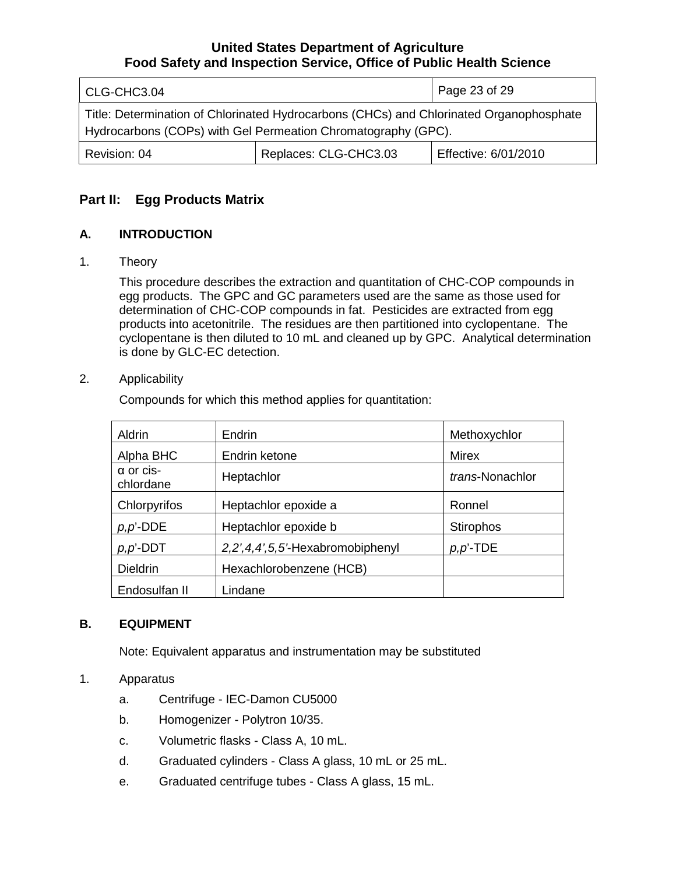| CLG-CHC3.04                                                                                                                                              |                       | Page 23 of 29        |
|----------------------------------------------------------------------------------------------------------------------------------------------------------|-----------------------|----------------------|
| Title: Determination of Chlorinated Hydrocarbons (CHCs) and Chlorinated Organophosphate<br>Hydrocarbons (COPs) with Gel Permeation Chromatography (GPC). |                       |                      |
| Revision: 04                                                                                                                                             | Replaces: CLG-CHC3.03 | Effective: 6/01/2010 |

# **Part II: Egg Products Matrix**

# **A. INTRODUCTION**

## 1. Theory

This procedure describes the extraction and quantitation of CHC-COP compounds in egg products. The GPC and GC parameters used are the same as those used for determination of CHC-COP compounds in fat. Pesticides are extracted from egg products into acetonitrile. The residues are then partitioned into cyclopentane. The cyclopentane is then diluted to 10 mL and cleaned up by GPC. Analytical determination is done by GLC-EC detection.

## 2. Applicability

Compounds for which this method applies for quantitation:

| Aldrin                        | Endrin                           | Methoxychlor     |
|-------------------------------|----------------------------------|------------------|
| Alpha BHC                     | Endrin ketone                    | Mirex            |
| $\alpha$ or cis-<br>chlordane | Heptachlor                       | trans-Nonachlor  |
| Chlorpyrifos                  | Heptachlor epoxide a             | Ronnel           |
| $p, p'$ -DDE                  | Heptachlor epoxide b             | <b>Stirophos</b> |
| $p, p'$ -DDT                  | 2,2',4,4',5,5'-Hexabromobiphenyl | $p, p'$ -TDE     |
| <b>Dieldrin</b>               | Hexachlorobenzene (HCB)          |                  |
| Endosulfan II                 | Lindane                          |                  |

# **B. EQUIPMENT**

Note: Equivalent apparatus and instrumentation may be substituted

# 1. Apparatus

- a. Centrifuge IEC-Damon CU5000
- b. Homogenizer Polytron 10/35.
- c. Volumetric flasks Class A, 10 mL.
- d. Graduated cylinders Class A glass, 10 mL or 25 mL.
- e. Graduated centrifuge tubes Class A glass, 15 mL.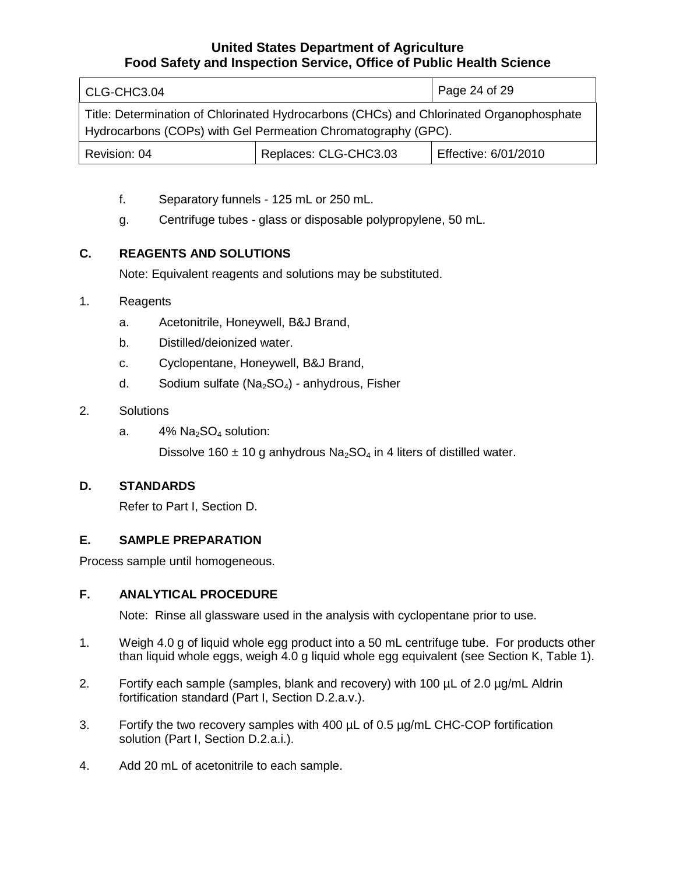| CLG-CHC3.04                                                                                                                                              |                       | Page 24 of 29        |
|----------------------------------------------------------------------------------------------------------------------------------------------------------|-----------------------|----------------------|
| Title: Determination of Chlorinated Hydrocarbons (CHCs) and Chlorinated Organophosphate<br>Hydrocarbons (COPs) with Gel Permeation Chromatography (GPC). |                       |                      |
| Revision: 04                                                                                                                                             | Replaces: CLG-CHC3.03 | Effective: 6/01/2010 |

- f. Separatory funnels 125 mL or 250 mL.
- g. Centrifuge tubes glass or disposable polypropylene, 50 mL.

# **C. REAGENTS AND SOLUTIONS**

Note: Equivalent reagents and solutions may be substituted.

# 1. Reagents

- a. Acetonitrile, Honeywell, B&J Brand,
- b. Distilled/deionized water.
- c. Cyclopentane, Honeywell, B&J Brand,
- d. Sodium sulfate  $(Na<sub>2</sub>SO<sub>4</sub>)$  anhydrous, Fisher
- 2. Solutions
	- a.  $4\%$  Na<sub>2</sub>SO<sub>4</sub> solution:

Dissolve 160  $\pm$  10 g anhydrous Na<sub>2</sub>SO<sub>4</sub> in 4 liters of distilled water.

# **D. STANDARDS**

Refer to Part I, Section D.

# **E. SAMPLE PREPARATION**

Process sample until homogeneous.

# **F. ANALYTICAL PROCEDURE**

Note: Rinse all glassware used in the analysis with cyclopentane prior to use.

- 1. Weigh 4.0 g of liquid whole egg product into a 50 mL centrifuge tube. For products other than liquid whole eggs, weigh 4.0 g liquid whole egg equivalent (see Section K, Table 1).
- 2. Fortify each sample (samples, blank and recovery) with 100  $\mu$ L of 2.0  $\mu$ g/mL Aldrin fortification standard (Part I, Section D.2.a.v.).
- 3. Fortify the two recovery samples with 400 µL of 0.5 µg/mL CHC-COP fortification solution (Part I, Section D.2.a.i.).
- 4. Add 20 mL of acetonitrile to each sample.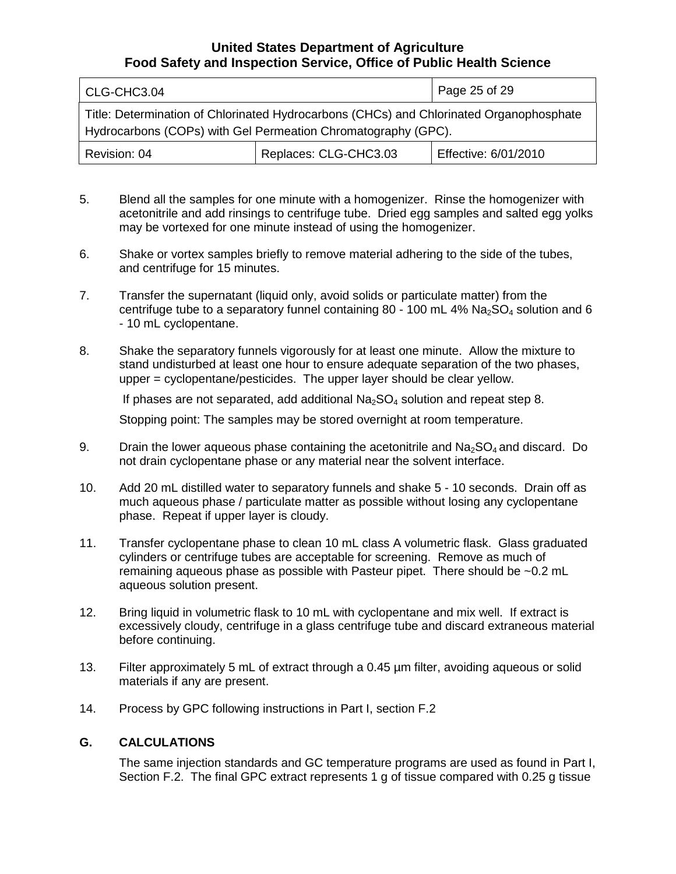| CLG-CHC3.04  |                                                                                                                                                          | Page 25 of 29        |
|--------------|----------------------------------------------------------------------------------------------------------------------------------------------------------|----------------------|
|              | Title: Determination of Chlorinated Hydrocarbons (CHCs) and Chlorinated Organophosphate<br>Hydrocarbons (COPs) with Gel Permeation Chromatography (GPC). |                      |
| Revision: 04 | Replaces: CLG-CHC3.03                                                                                                                                    | Effective: 6/01/2010 |

- 5. Blend all the samples for one minute with a homogenizer. Rinse the homogenizer with acetonitrile and add rinsings to centrifuge tube. Dried egg samples and salted egg yolks may be vortexed for one minute instead of using the homogenizer.
- 6. Shake or vortex samples briefly to remove material adhering to the side of the tubes, and centrifuge for 15 minutes.
- 7. Transfer the supernatant (liquid only, avoid solids or particulate matter) from the centrifuge tube to a separatory funnel containing 80 - 100 mL  $4\%$  Na<sub>2</sub>SO<sub>4</sub> solution and 6 - 10 mL cyclopentane.
- 8. Shake the separatory funnels vigorously for at least one minute. Allow the mixture to stand undisturbed at least one hour to ensure adequate separation of the two phases, upper = cyclopentane/pesticides. The upper layer should be clear yellow.

If phases are not separated, add additional  $Na<sub>2</sub>SO<sub>4</sub>$  solution and repeat step 8.

Stopping point: The samples may be stored overnight at room temperature.

- 9. Drain the lower aqueous phase containing the acetonitrile and  $Na<sub>2</sub>SO<sub>4</sub>$  and discard. Do not drain cyclopentane phase or any material near the solvent interface.
- 10. Add 20 mL distilled water to separatory funnels and shake 5 10 seconds. Drain off as much aqueous phase / particulate matter as possible without losing any cyclopentane phase. Repeat if upper layer is cloudy.
- 11. Transfer cyclopentane phase to clean 10 mL class A volumetric flask. Glass graduated cylinders or centrifuge tubes are acceptable for screening. Remove as much of remaining aqueous phase as possible with Pasteur pipet. There should be ~0.2 mL aqueous solution present.
- 12. Bring liquid in volumetric flask to 10 mL with cyclopentane and mix well. If extract is excessively cloudy, centrifuge in a glass centrifuge tube and discard extraneous material before continuing.
- 13. Filter approximately 5 mL of extract through a 0.45 µm filter, avoiding aqueous or solid materials if any are present.
- 14. Process by GPC following instructions in Part I, section F.2

# **G. CALCULATIONS**

The same injection standards and GC temperature programs are used as found in Part I, Section F.2. The final GPC extract represents 1 g of tissue compared with 0.25 g tissue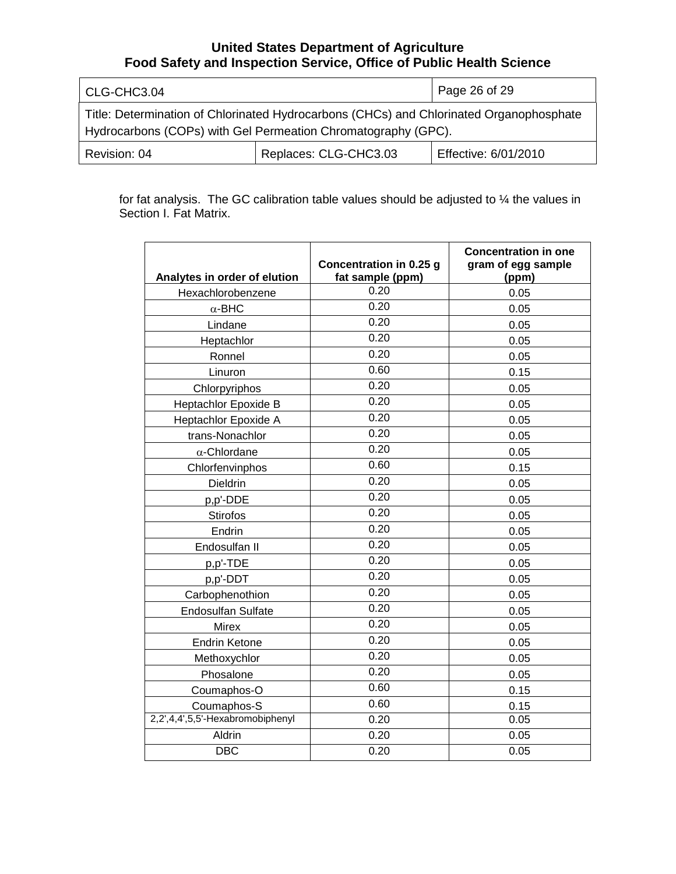| CLG-CHC3.04                                                                                                                                              |                       | Page 26 of 29        |
|----------------------------------------------------------------------------------------------------------------------------------------------------------|-----------------------|----------------------|
| Title: Determination of Chlorinated Hydrocarbons (CHCs) and Chlorinated Organophosphate<br>Hydrocarbons (COPs) with Gel Permeation Chromatography (GPC). |                       |                      |
| Revision: 04                                                                                                                                             | Replaces: CLG-CHC3.03 | Effective: 6/01/2010 |

for fat analysis. The GC calibration table values should be adjusted to ¼ the values in Section I. Fat Matrix.

| Analytes in order of elution     | Concentration in 0.25 g<br>fat sample (ppm) | <b>Concentration in one</b><br>gram of egg sample<br>(ppm) |
|----------------------------------|---------------------------------------------|------------------------------------------------------------|
| Hexachlorobenzene                | 0.20                                        | 0.05                                                       |
| $\alpha$ -BHC                    | 0.20                                        | 0.05                                                       |
| Lindane                          | 0.20                                        | 0.05                                                       |
| Heptachlor                       | 0.20                                        | 0.05                                                       |
| Ronnel                           | 0.20                                        | 0.05                                                       |
| Linuron                          | 0.60                                        | 0.15                                                       |
| Chlorpyriphos                    | 0.20                                        | 0.05                                                       |
| Heptachlor Epoxide B             | 0.20                                        | 0.05                                                       |
| Heptachlor Epoxide A             | 0.20                                        | 0.05                                                       |
| trans-Nonachlor                  | 0.20                                        | 0.05                                                       |
| $\alpha$ -Chlordane              | 0.20                                        | 0.05                                                       |
| Chlorfenvinphos                  | 0.60                                        | 0.15                                                       |
| <b>Dieldrin</b>                  | 0.20                                        | 0.05                                                       |
| p,p'-DDE                         | 0.20                                        | 0.05                                                       |
| <b>Stirofos</b>                  | 0.20                                        | 0.05                                                       |
| Endrin                           | 0.20                                        | 0.05                                                       |
| Endosulfan II                    | 0.20                                        | 0.05                                                       |
| p,p'-TDE                         | 0.20                                        | 0.05                                                       |
| p,p'-DDT                         | 0.20                                        | 0.05                                                       |
| Carbophenothion                  | 0.20                                        | 0.05                                                       |
| <b>Endosulfan Sulfate</b>        | 0.20                                        | 0.05                                                       |
| <b>Mirex</b>                     | 0.20                                        | 0.05                                                       |
| <b>Endrin Ketone</b>             | 0.20                                        | 0.05                                                       |
| Methoxychlor                     | 0.20                                        | 0.05                                                       |
| Phosalone                        | 0.20                                        | 0.05                                                       |
| Coumaphos-O                      | 0.60                                        | 0.15                                                       |
| Coumaphos-S                      | 0.60                                        | 0.15                                                       |
| 2,2',4,4',5,5'-Hexabromobiphenyl | 0.20                                        | 0.05                                                       |
| Aldrin                           | 0.20                                        | 0.05                                                       |
| <b>DBC</b>                       | 0.20                                        | 0.05                                                       |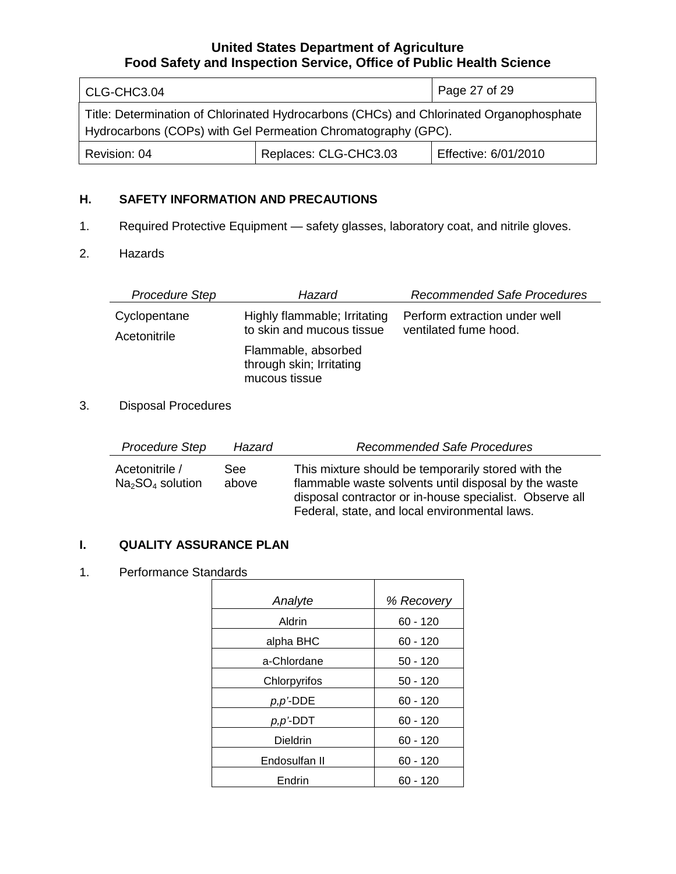| CLG-CHC3.04                                                                                                                                              |                       | Page 27 of 29        |
|----------------------------------------------------------------------------------------------------------------------------------------------------------|-----------------------|----------------------|
| Title: Determination of Chlorinated Hydrocarbons (CHCs) and Chlorinated Organophosphate<br>Hydrocarbons (COPs) with Gel Permeation Chromatography (GPC). |                       |                      |
| Revision: 04                                                                                                                                             | Replaces: CLG-CHC3.03 | Effective: 6/01/2010 |

# **H. SAFETY INFORMATION AND PRECAUTIONS**

1. Required Protective Equipment — safety glasses, laboratory coat, and nitrile gloves.

### 2. Hazards

| <b>Procedure Step</b> | Hazard                                                           | <b>Recommended Safe Procedures</b> |
|-----------------------|------------------------------------------------------------------|------------------------------------|
| Cyclopentane          | Highly flammable; Irritating                                     | Perform extraction under well      |
| Acetonitrile          | to skin and mucous tissue                                        | ventilated fume hood.              |
|                       | Flammable, absorbed<br>through skin; Irritating<br>mucous tissue |                                    |

# 3. Disposal Procedures

| Procedure Step                      | Hazard        | <b>Recommended Safe Procedures</b>                                                                                                                                                                                     |
|-------------------------------------|---------------|------------------------------------------------------------------------------------------------------------------------------------------------------------------------------------------------------------------------|
| Acetonitrile /<br>$Na2SO4$ solution | See:<br>above | This mixture should be temporarily stored with the<br>flammable waste solvents until disposal by the waste<br>disposal contractor or in-house specialist. Observe all<br>Federal, state, and local environmental laws. |

# **I. QUALITY ASSURANCE PLAN**

#### 1. Performance Standards

| Analyte       | % Recovery |
|---------------|------------|
| Aldrin        | $60 - 120$ |
| alpha BHC     | $60 - 120$ |
| a-Chlordane   | $50 - 120$ |
| Chlorpyrifos  | $50 - 120$ |
| p,p'-DDE      | $60 - 120$ |
| $p, p$ '-DDT  | $60 - 120$ |
| Dieldrin      | $60 - 120$ |
| Endosulfan II | $60 - 120$ |
| Endrin        | $60 - 120$ |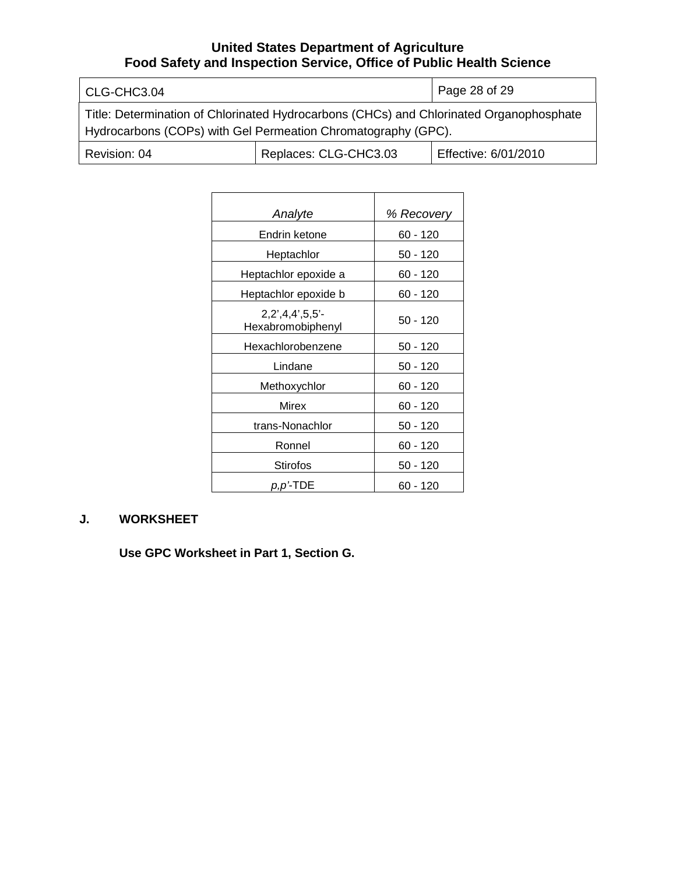| CLG-CHC3.04                                                                                                                                              |                       | Page 28 of 29        |
|----------------------------------------------------------------------------------------------------------------------------------------------------------|-----------------------|----------------------|
| Title: Determination of Chlorinated Hydrocarbons (CHCs) and Chlorinated Organophosphate<br>Hydrocarbons (COPs) with Gel Permeation Chromatography (GPC). |                       |                      |
| Revision: 04                                                                                                                                             | Replaces: CLG-CHC3.03 | Effective: 6/01/2010 |

| Analyte                                | % Recovery |
|----------------------------------------|------------|
| Endrin ketone                          | 60 - 120   |
| Heptachlor                             | 50 - 120   |
| Heptachlor epoxide a                   | 60 - 120   |
| Heptachlor epoxide b                   | 60 - 120   |
| $2,2',4,4',5,5'-$<br>Hexabromobiphenyl | $50 - 120$ |
| Hexachlorobenzene                      | 50 - 120   |
| Lindane                                | 50 - 120   |
| Methoxychlor                           | 60 - 120   |
| Mirex                                  | 60 - 120   |
| trans-Nonachlor                        | 50 - 120   |
| Ronnel                                 | 60 - 120   |
| Stirofos                               | 50 - 120   |
| p,p'-TDE                               | 60 - 120   |
|                                        |            |

# **J. WORKSHEET**

**Use GPC Worksheet in Part 1, Section G.**